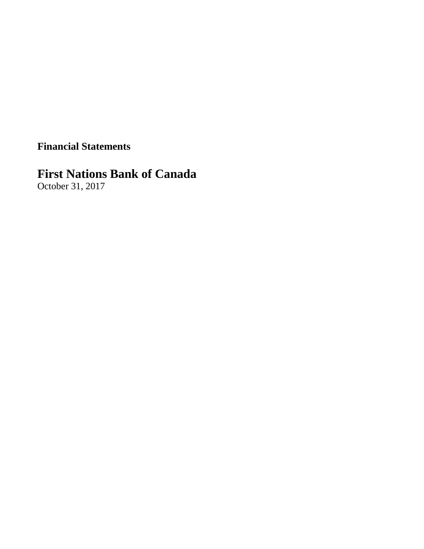**Financial Statements** 

# **First Nations Bank of Canada**

October 31, 2017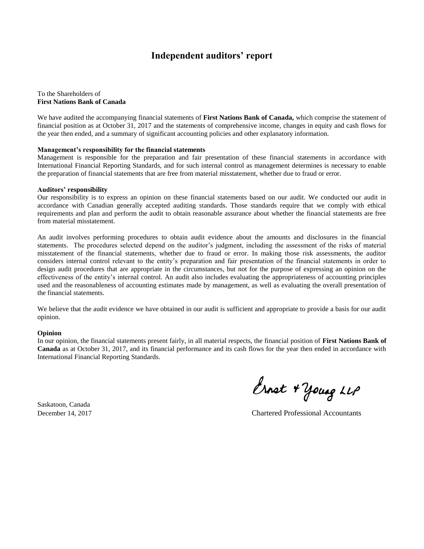## **Independent auditors' report**

#### To the Shareholders of **First Nations Bank of Canada**

We have audited the accompanying financial statements of **First Nations Bank of Canada,** which comprise the statement of financial position as at October 31, 2017 and the statements of comprehensive income, changes in equity and cash flows for the year then ended, and a summary of significant accounting policies and other explanatory information.

#### **Management's responsibility for the financial statements**

Management is responsible for the preparation and fair presentation of these financial statements in accordance with International Financial Reporting Standards, and for such internal control as management determines is necessary to enable the preparation of financial statements that are free from material misstatement, whether due to fraud or error.

#### **Auditors' responsibility**

Our responsibility is to express an opinion on these financial statements based on our audit. We conducted our audit in accordance with Canadian generally accepted auditing standards. Those standards require that we comply with ethical requirements and plan and perform the audit to obtain reasonable assurance about whether the financial statements are free from material misstatement.

An audit involves performing procedures to obtain audit evidence about the amounts and disclosures in the financial statements. The procedures selected depend on the auditor's judgment, including the assessment of the risks of material misstatement of the financial statements, whether due to fraud or error. In making those risk assessments, the auditor considers internal control relevant to the entity's preparation and fair presentation of the financial statements in order to design audit procedures that are appropriate in the circumstances, but not for the purpose of expressing an opinion on the effectiveness of the entity's internal control. An audit also includes evaluating the appropriateness of accounting principles used and the reasonableness of accounting estimates made by management, as well as evaluating the overall presentation of the financial statements.

We believe that the audit evidence we have obtained in our audit is sufficient and appropriate to provide a basis for our audit opinion.

#### **Opinion**

In our opinion, the financial statements present fairly, in all material respects, the financial position of **First Nations Bank of Canada** as at October 31, 2017, and its financial performance and its cash flows for the year then ended in accordance with International Financial Reporting Standards.

Saskatoon, Canada

Ernst + Young LLP

December 14, 2017 Chartered Professional Accountants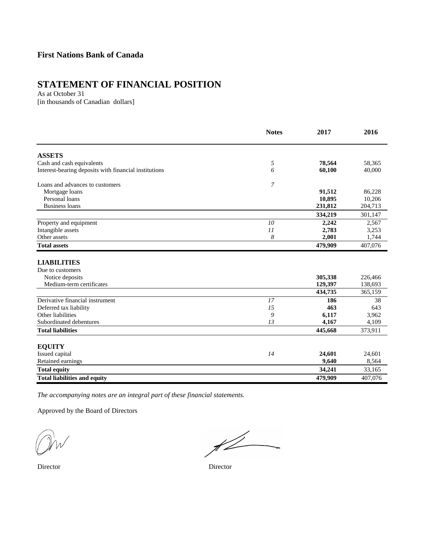# **STATEMENT OF FINANCIAL POSITION**

As at October 31

[in thousands of Canadian dollars]

|                                                       | <b>Notes</b> | 2017    | 2016    |
|-------------------------------------------------------|--------------|---------|---------|
| <b>ASSETS</b>                                         |              |         |         |
| Cash and cash equivalents                             | 5            | 78,564  | 58,365  |
| Interest-bearing deposits with financial institutions | 6            | 60,100  | 40,000  |
| Loans and advances to customers                       | 7            |         |         |
| Mortgage loans                                        |              | 91,512  | 86,228  |
| Personal loans                                        |              | 10,895  | 10,206  |
| <b>Business loans</b>                                 |              | 231,812 | 204,713 |
|                                                       |              | 334,219 | 301,147 |
| Property and equipment                                | 10           | 2,242   | 2,567   |
| Intangible assets                                     | II           | 2,783   | 3,253   |
| Other assets                                          | 8            | 2,001   | 1,744   |
| <b>Total assets</b>                                   |              | 479,909 | 407,076 |
| <b>LIABILITIES</b>                                    |              |         |         |
| Due to customers                                      |              |         |         |
| Notice deposits                                       |              | 305,338 | 226,466 |
| Medium-term certificates                              |              | 129,397 | 138,693 |
|                                                       |              | 434,735 | 365,159 |
| Derivative financial instrument                       | 17           | 186     | 38      |
| Deferred tax liability                                | 15           | 463     | 643     |
| Other liabilities                                     | 9            | 6,117   | 3,962   |
| Subordinated debentures                               | 13           | 4,167   | 4,109   |
| <b>Total liabilities</b>                              |              | 445,668 | 373,911 |
| <b>EQUITY</b>                                         |              |         |         |
| Issued capital                                        | 14           | 24,601  | 24,601  |
| Retained earnings                                     |              | 9,640   | 8,564   |
| <b>Total equity</b>                                   |              | 34,241  | 33,165  |
| <b>Total liabilities and equity</b>                   |              | 479,909 | 407,076 |

*The accompanying notes are an integral part of these financial statements.*

Approved by the Board of Directors

 $f\overline{\angle}$ 

Director Director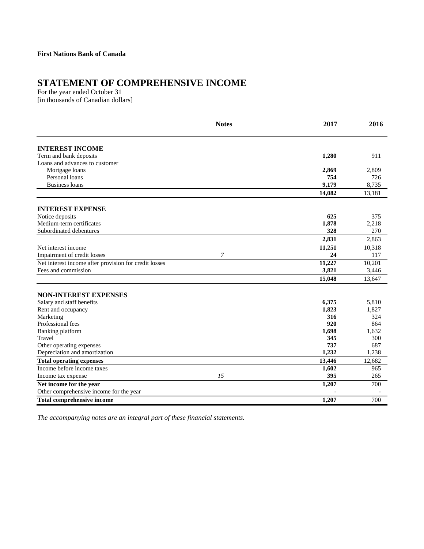# **STATEMENT OF COMPREHENSIVE INCOME**

For the year ended October 31 [in thousands of Canadian dollars]

|                                                       | <b>Notes</b> | 2017   | 2016   |
|-------------------------------------------------------|--------------|--------|--------|
| <b>INTEREST INCOME</b>                                |              |        |        |
| Term and bank deposits                                |              | 1,280  | 911    |
| Loans and advances to customer                        |              |        |        |
| Mortgage loans                                        |              | 2,869  | 2,809  |
| Personal loans                                        |              | 754    | 726    |
| <b>Business loans</b>                                 |              | 9.179  | 8,735  |
|                                                       |              | 14,082 | 13,181 |
| <b>INTEREST EXPENSE</b>                               |              |        |        |
| Notice deposits                                       |              | 625    | 375    |
| Medium-term certificates                              |              | 1,878  | 2,218  |
| Subordinated debentures                               |              | 328    | 270    |
|                                                       |              | 2,831  | 2,863  |
| Net interest income                                   |              | 11,251 | 10,318 |
| Impairment of credit losses                           | 7            | 24     | 117    |
| Net interest income after provision for credit losses |              | 11,227 | 10,201 |
| Fees and commission                                   |              | 3,821  | 3,446  |
|                                                       |              | 15,048 | 13,647 |
| <b>NON-INTEREST EXPENSES</b>                          |              |        |        |
| Salary and staff benefits                             |              | 6,375  | 5,810  |
| Rent and occupancy                                    |              | 1,823  | 1,827  |
| Marketing                                             |              | 316    | 324    |
| Professional fees                                     |              | 920    | 864    |
| Banking platform                                      |              | 1,698  | 1,632  |
| Travel                                                |              | 345    | 300    |
| Other operating expenses                              |              | 737    | 687    |
| Depreciation and amortization                         |              | 1.232  | 1.238  |
| <b>Total operating expenses</b>                       |              | 13,446 | 12,682 |
| Income before income taxes                            |              | 1,602  | 965    |
| Income tax expense                                    | 15           | 395    | 265    |
| Net income for the year                               |              | 1,207  | 700    |
| Other comprehensive income for the year               |              |        |        |
| <b>Total comprehensive income</b>                     |              | 1,207  | 700    |

*The accompanying notes are an integral part of these financial statements.*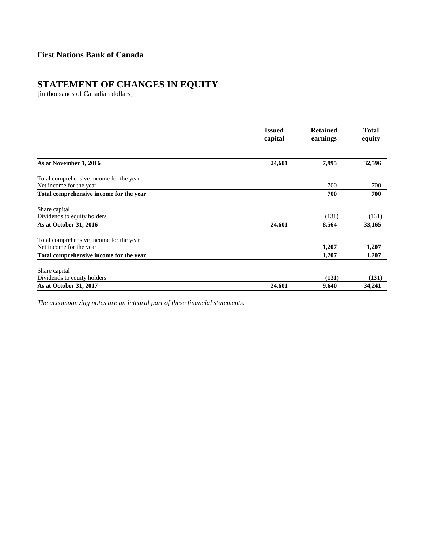## **STATEMENT OF CHANGES IN EQUITY**

[in thousands of Canadian dollars]

|                                                                    | <b>Issued</b><br>capital | <b>Retained</b><br>earnings | <b>Total</b><br>equity |
|--------------------------------------------------------------------|--------------------------|-----------------------------|------------------------|
| As at November 1, 2016                                             | 24,601                   | 7,995                       | 32,596                 |
| Total comprehensive income for the year<br>Net income for the year |                          | 700                         | 700                    |
| Total comprehensive income for the year                            |                          | 700                         | 700                    |
| Share capital<br>Dividends to equity holders                       |                          | (131)                       | (131)                  |
| As at October 31, 2016                                             | 24,601                   | 8,564                       | 33,165                 |
| Total comprehensive income for the year<br>Net income for the year |                          | 1,207                       | 1,207                  |
| Total comprehensive income for the year                            |                          | 1,207                       | 1,207                  |
| Share capital<br>Dividends to equity holders                       |                          | (131)                       | (131)                  |
| As at October 31, 2017                                             | 24,601                   | 9,640                       | 34,241                 |

*The accompanying notes are an integral part of these financial statements.*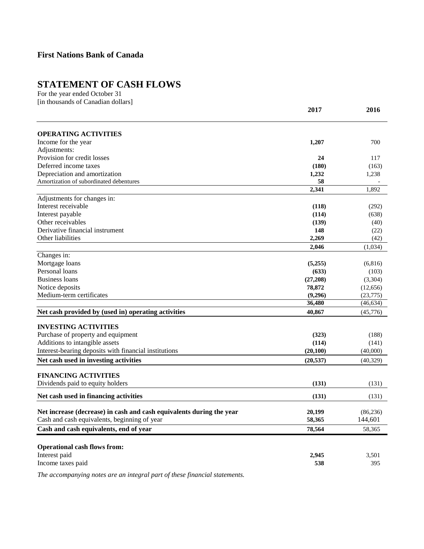# **STATEMENT OF CASH FLOWS**

For the year ended October 31 [in thousands of Canadian dollars]

|                                                                      | 2017      | 2016      |
|----------------------------------------------------------------------|-----------|-----------|
| <b>OPERATING ACTIVITIES</b>                                          |           |           |
| Income for the year                                                  | 1,207     | 700       |
| Adjustments:                                                         |           |           |
| Provision for credit losses                                          | 24        | 117       |
| Deferred income taxes                                                | (180)     | (163)     |
| Depreciation and amortization                                        | 1,232     | 1,238     |
| Amortization of subordinated debentures                              | 58        |           |
|                                                                      | 2,341     | 1,892     |
| Adjustments for changes in:                                          |           |           |
| Interest receivable                                                  | (118)     | (292)     |
| Interest payable                                                     | (114)     | (638)     |
| Other receivables                                                    | (139)     | (40)      |
| Derivative financial instrument                                      | 148       | (22)      |
| Other liabilities                                                    | 2,269     | (42)      |
|                                                                      | 2,046     | (1,034)   |
| Changes in:                                                          |           |           |
| Mortgage loans                                                       | (5,255)   | (6,816)   |
| Personal loans                                                       | (633)     | (103)     |
| <b>Business loans</b>                                                | (27,208)  | (3,304)   |
| Notice deposits                                                      | 78,872    | (12,656)  |
| Medium-term certificates                                             | (9,296)   | (23, 775) |
|                                                                      | 36,480    | (46, 634) |
| Net cash provided by (used in) operating activities                  | 40,867    | (45,776)  |
| <b>INVESTING ACTIVITIES</b>                                          |           |           |
| Purchase of property and equipment                                   | (323)     | (188)     |
| Additions to intangible assets                                       | (114)     | (141)     |
| Interest-bearing deposits with financial institutions                | (20,100)  | (40,000)  |
| Net cash used in investing activities                                | (20, 537) | (40, 329) |
|                                                                      |           |           |
| <b>FINANCING ACTIVITIES</b>                                          |           |           |
| Dividends paid to equity holders                                     | (131)     | (131)     |
| Net cash used in financing activities                                | (131)     | (131)     |
| Net increase (decrease) in cash and cash equivalents during the year | 20,199    | (86, 236) |
| Cash and cash equivalents, beginning of year                         | 58,365    | 144,601   |
| Cash and cash equivalents, end of year                               | 78,564    | 58,365    |
|                                                                      |           |           |
| <b>Operational cash flows from:</b>                                  |           |           |
| Interest paid                                                        | 2,945     | 3,501     |
| Income taxes paid                                                    | 538       | 395       |
|                                                                      |           |           |

*The accompanying notes are an integral part of these financial statements.*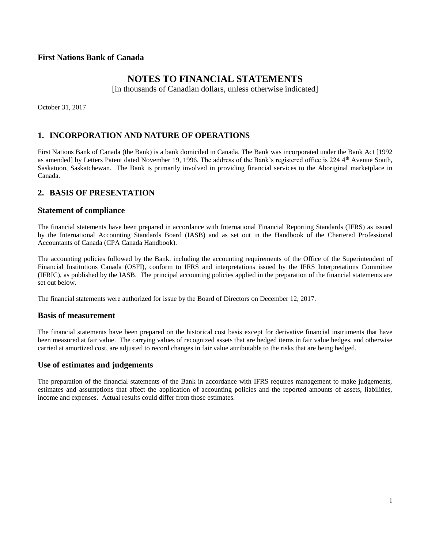## **NOTES TO FINANCIAL STATEMENTS**

[in thousands of Canadian dollars, unless otherwise indicated]

October 31, 2017

### **1. INCORPORATION AND NATURE OF OPERATIONS**

First Nations Bank of Canada (the Bank) is a bank domiciled in Canada. The Bank was incorporated under the Bank Act [1992 as amended] by Letters Patent dated November 19, 1996. The address of the Bank's registered office is 224 4<sup>th</sup> Avenue South, Saskatoon, Saskatchewan. The Bank is primarily involved in providing financial services to the Aboriginal marketplace in Canada.

### **2. BASIS OF PRESENTATION**

#### **Statement of compliance**

The financial statements have been prepared in accordance with International Financial Reporting Standards (IFRS) as issued by the International Accounting Standards Board (IASB) and as set out in the Handbook of the Chartered Professional Accountants of Canada (CPA Canada Handbook).

The accounting policies followed by the Bank, including the accounting requirements of the Office of the Superintendent of Financial Institutions Canada (OSFI), conform to IFRS and interpretations issued by the IFRS Interpretations Committee (IFRIC), as published by the IASB. The principal accounting policies applied in the preparation of the financial statements are set out below.

The financial statements were authorized for issue by the Board of Directors on December 12, 2017.

#### **Basis of measurement**

The financial statements have been prepared on the historical cost basis except for derivative financial instruments that have been measured at fair value. The carrying values of recognized assets that are hedged items in fair value hedges, and otherwise carried at amortized cost, are adjusted to record changes in fair value attributable to the risks that are being hedged.

#### **Use of estimates and judgements**

The preparation of the financial statements of the Bank in accordance with IFRS requires management to make judgements, estimates and assumptions that affect the application of accounting policies and the reported amounts of assets, liabilities, income and expenses. Actual results could differ from those estimates.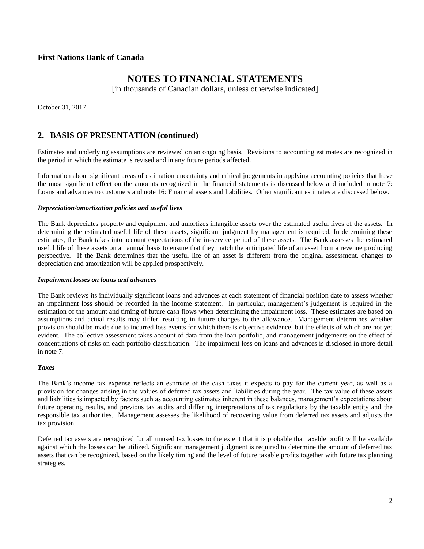## **NOTES TO FINANCIAL STATEMENTS**

[in thousands of Canadian dollars, unless otherwise indicated]

October 31, 2017

### **2. BASIS OF PRESENTATION (continued)**

Estimates and underlying assumptions are reviewed on an ongoing basis. Revisions to accounting estimates are recognized in the period in which the estimate is revised and in any future periods affected.

Information about significant areas of estimation uncertainty and critical judgements in applying accounting policies that have the most significant effect on the amounts recognized in the financial statements is discussed below and included in note 7: Loans and advances to customers and note 16: Financial assets and liabilities. Other significant estimates are discussed below.

#### *Depreciation/amortization policies and useful lives*

The Bank depreciates property and equipment and amortizes intangible assets over the estimated useful lives of the assets. In determining the estimated useful life of these assets, significant judgment by management is required. In determining these estimates, the Bank takes into account expectations of the in-service period of these assets. The Bank assesses the estimated useful life of these assets on an annual basis to ensure that they match the anticipated life of an asset from a revenue producing perspective. If the Bank determines that the useful life of an asset is different from the original assessment, changes to depreciation and amortization will be applied prospectively.

#### *Impairment losses on loans and advances*

The Bank reviews its individually significant loans and advances at each statement of financial position date to assess whether an impairment loss should be recorded in the income statement. In particular, management's judgement is required in the estimation of the amount and timing of future cash flows when determining the impairment loss. These estimates are based on assumptions and actual results may differ, resulting in future changes to the allowance. Management determines whether provision should be made due to incurred loss events for which there is objective evidence, but the effects of which are not yet evident. The collective assessment takes account of data from the loan portfolio, and management judgements on the effect of concentrations of risks on each portfolio classification. The impairment loss on loans and advances is disclosed in more detail in note 7.

#### *Taxes*

The Bank's income tax expense reflects an estimate of the cash taxes it expects to pay for the current year, as well as a provision for changes arising in the values of deferred tax assets and liabilities during the year. The tax value of these assets and liabilities is impacted by factors such as accounting estimates inherent in these balances, management's expectations about future operating results, and previous tax audits and differing interpretations of tax regulations by the taxable entity and the responsible tax authorities. Management assesses the likelihood of recovering value from deferred tax assets and adjusts the tax provision.

Deferred tax assets are recognized for all unused tax losses to the extent that it is probable that taxable profit will be available against which the losses can be utilized. Significant management judgment is required to determine the amount of deferred tax assets that can be recognized, based on the likely timing and the level of future taxable profits together with future tax planning strategies.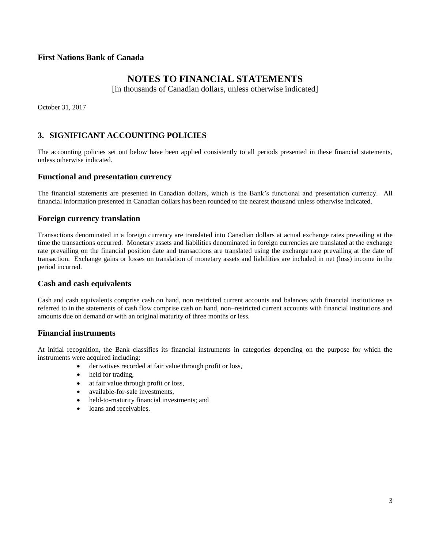## **NOTES TO FINANCIAL STATEMENTS**

[in thousands of Canadian dollars, unless otherwise indicated]

October 31, 2017

### **3. SIGNIFICANT ACCOUNTING POLICIES**

The accounting policies set out below have been applied consistently to all periods presented in these financial statements, unless otherwise indicated.

#### **Functional and presentation currency**

The financial statements are presented in Canadian dollars, which is the Bank's functional and presentation currency. All financial information presented in Canadian dollars has been rounded to the nearest thousand unless otherwise indicated.

#### **Foreign currency translation**

Transactions denominated in a foreign currency are translated into Canadian dollars at actual exchange rates prevailing at the time the transactions occurred. Monetary assets and liabilities denominated in foreign currencies are translated at the exchange rate prevailing on the financial position date and transactions are translated using the exchange rate prevailing at the date of transaction. Exchange gains or losses on translation of monetary assets and liabilities are included in net (loss) income in the period incurred.

#### **Cash and cash equivalents**

Cash and cash equivalents comprise cash on hand, non restricted current accounts and balances with financial institutionss as referred to in the statements of cash flow comprise cash on hand, non–restricted current accounts with financial institutions and amounts due on demand or with an original maturity of three months or less.

#### **Financial instruments**

At initial recognition, the Bank classifies its financial instruments in categories depending on the purpose for which the instruments were acquired including:

- derivatives recorded at fair value through profit or loss,
- held for trading,
- at fair value through profit or loss,
- available-for-sale investments,
- held-to-maturity financial investments; and
- loans and receivables.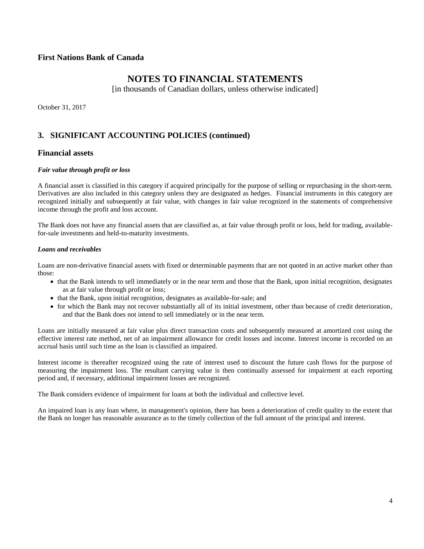## **NOTES TO FINANCIAL STATEMENTS**

[in thousands of Canadian dollars, unless otherwise indicated]

October 31, 2017

## **3. SIGNIFICANT ACCOUNTING POLICIES (continued)**

#### **Financial assets**

#### *Fair value through profit or loss*

A financial asset is classified in this category if acquired principally for the purpose of selling or repurchasing in the short-term. Derivatives are also included in this category unless they are designated as hedges. Financial instruments in this category are recognized initially and subsequently at fair value, with changes in fair value recognized in the statements of comprehensive income through the profit and loss account.

The Bank does not have any financial assets that are classified as, at fair value through profit or loss, held for trading, availablefor-sale investments and held-to-maturity investments.

#### *Loans and receivables*

Loans are non-derivative financial assets with fixed or determinable payments that are not quoted in an active market other than those:

- that the Bank intends to sell immediately or in the near term and those that the Bank, upon initial recognition, designates as at fair value through profit or loss;
- that the Bank, upon initial recognition, designates as available-for-sale; and
- for which the Bank may not recover substantially all of its initial investment, other than because of credit deterioration, and that the Bank does not intend to sell immediately or in the near term.

Loans are initially measured at fair value plus direct transaction costs and subsequently measured at amortized cost using the effective interest rate method, net of an impairment allowance for credit losses and income. Interest income is recorded on an accrual basis until such time as the loan is classified as impaired.

Interest income is thereafter recognized using the rate of interest used to discount the future cash flows for the purpose of measuring the impairment loss. The resultant carrying value is then continually assessed for impairment at each reporting period and, if necessary, additional impairment losses are recognized.

The Bank considers evidence of impairment for loans at both the individual and collective level.

An impaired loan is any loan where, in management's opinion, there has been a deterioration of credit quality to the extent that the Bank no longer has reasonable assurance as to the timely collection of the full amount of the principal and interest.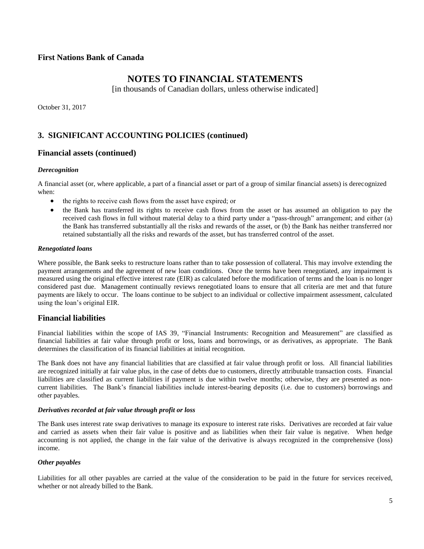## **NOTES TO FINANCIAL STATEMENTS**

[in thousands of Canadian dollars, unless otherwise indicated]

October 31, 2017

### **3. SIGNIFICANT ACCOUNTING POLICIES (continued)**

#### **Financial assets (continued)**

#### *Derecognition*

A financial asset (or, where applicable, a part of a financial asset or part of a group of similar financial assets) is derecognized when:

- the rights to receive cash flows from the asset have expired; or
- the Bank has transferred its rights to receive cash flows from the asset or has assumed an obligation to pay the received cash flows in full without material delay to a third party under a "pass-through" arrangement; and either (a) the Bank has transferred substantially all the risks and rewards of the asset, or (b) the Bank has neither transferred nor retained substantially all the risks and rewards of the asset, but has transferred control of the asset.

#### *Renegotiated loans*

Where possible, the Bank seeks to restructure loans rather than to take possession of collateral. This may involve extending the payment arrangements and the agreement of new loan conditions. Once the terms have been renegotiated, any impairment is measured using the original effective interest rate (EIR) as calculated before the modification of terms and the loan is no longer considered past due. Management continually reviews renegotiated loans to ensure that all criteria are met and that future payments are likely to occur. The loans continue to be subject to an individual or collective impairment assessment, calculated using the loan's original EIR.

#### **Financial liabilities**

Financial liabilities within the scope of IAS 39, "Financial Instruments: Recognition and Measurement" are classified as financial liabilities at fair value through profit or loss, loans and borrowings, or as derivatives, as appropriate. The Bank determines the classification of its financial liabilities at initial recognition.

The Bank does not have any financial liabilities that are classified at fair value through profit or loss. All financial liabilities are recognized initially at fair value plus, in the case of debts due to customers, directly attributable transaction costs. Financial liabilities are classified as current liabilities if payment is due within twelve months; otherwise, they are presented as noncurrent liabilities. The Bank's financial liabilities include interest-bearing deposits (i.e. due to customers) borrowings and other payables.

#### *Derivatives recorded at fair value through profit or loss*

The Bank uses interest rate swap derivatives to manage its exposure to interest rate risks. Derivatives are recorded at fair value and carried as assets when their fair value is positive and as liabilities when their fair value is negative. When hedge accounting is not applied, the change in the fair value of the derivative is always recognized in the comprehensive (loss) income.

#### *Other payables*

Liabilities for all other payables are carried at the value of the consideration to be paid in the future for services received, whether or not already billed to the Bank.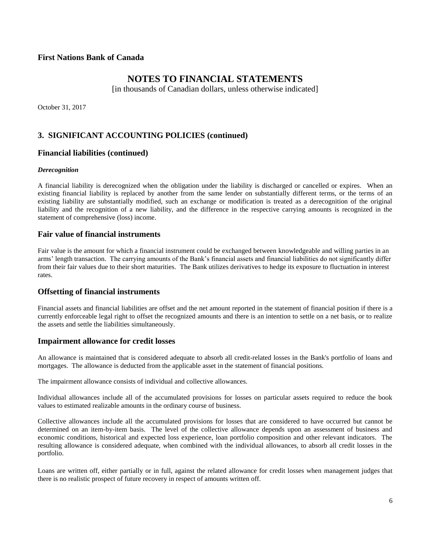## **NOTES TO FINANCIAL STATEMENTS**

[in thousands of Canadian dollars, unless otherwise indicated]

October 31, 2017

## **3. SIGNIFICANT ACCOUNTING POLICIES (continued)**

#### **Financial liabilities (continued)**

#### *Derecognition*

A financial liability is derecognized when the obligation under the liability is discharged or cancelled or expires. When an existing financial liability is replaced by another from the same lender on substantially different terms, or the terms of an existing liability are substantially modified, such an exchange or modification is treated as a derecognition of the original liability and the recognition of a new liability, and the difference in the respective carrying amounts is recognized in the statement of comprehensive (loss) income.

#### **Fair value of financial instruments**

Fair value is the amount for which a financial instrument could be exchanged between knowledgeable and willing parties in an arms' length transaction. The carrying amounts of the Bank's financial assets and financial liabilities do not significantly differ from their fair values due to their short maturities. The Bank utilizes derivatives to hedge its exposure to fluctuation in interest rates.

#### **Offsetting of financial instruments**

Financial assets and financial liabilities are offset and the net amount reported in the statement of financial position if there is a currently enforceable legal right to offset the recognized amounts and there is an intention to settle on a net basis, or to realize the assets and settle the liabilities simultaneously.

#### **Impairment allowance for credit losses**

An allowance is maintained that is considered adequate to absorb all credit-related losses in the Bank's portfolio of loans and mortgages. The allowance is deducted from the applicable asset in the statement of financial positions.

The impairment allowance consists of individual and collective allowances.

Individual allowances include all of the accumulated provisions for losses on particular assets required to reduce the book values to estimated realizable amounts in the ordinary course of business.

Collective allowances include all the accumulated provisions for losses that are considered to have occurred but cannot be determined on an item-by-item basis. The level of the collective allowance depends upon an assessment of business and economic conditions, historical and expected loss experience, loan portfolio composition and other relevant indicators. The resulting allowance is considered adequate, when combined with the individual allowances, to absorb all credit losses in the portfolio.

Loans are written off, either partially or in full, against the related allowance for credit losses when management judges that there is no realistic prospect of future recovery in respect of amounts written off.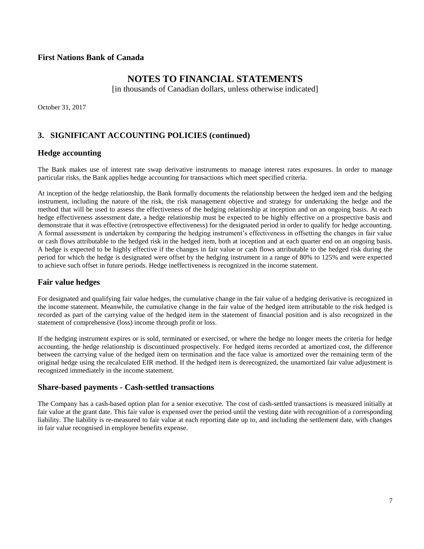## **NOTES TO FINANCIAL STATEMENTS**

[in thousands of Canadian dollars, unless otherwise indicated]

October 31, 2017

## **3. SIGNIFICANT ACCOUNTING POLICIES (continued)**

#### **Hedge accounting**

The Bank makes use of interest rate swap derivative instruments to manage interest rates exposures. In order to manage particular risks, the Bank applies hedge accounting for transactions which meet specified criteria.

At inception of the hedge relationship, the Bank formally documents the relationship between the hedged item and the hedging instrument, including the nature of the risk, the risk management objective and strategy for undertaking the hedge and the method that will be used to assess the effectiveness of the hedging relationship at inception and on an ongoing basis. At each hedge effectiveness assessment date, a hedge relationship must be expected to be highly effective on a prospective basis and demonstrate that it was effective (retrospective effectiveness) for the designated period in order to qualify for hedge accounting. A formal assessment is undertaken by comparing the hedging instrument's effectiveness in offsetting the changes in fair value or cash flows attributable to the hedged risk in the hedged item, both at inception and at each quarter end on an ongoing basis. A hedge is expected to be highly effective if the changes in fair value or cash flows attributable to the hedged risk during the period for which the hedge is designated were offset by the hedging instrument in a range of 80% to 125% and were expected to achieve such offset in future periods. Hedge ineffectiveness is recognized in the income statement.

#### **Fair value hedges**

For designated and qualifying fair value hedges, the cumulative change in the fair value of a hedging derivative is recognized in the income statement. Meanwhile, the cumulative change in the fair value of the hedged item attributable to the risk hedged is recorded as part of the carrying value of the hedged item in the statement of financial position and is also recognized in the statement of comprehensive (loss) income through profit or loss.

If the hedging instrument expires or is sold, terminated or exercised, or where the hedge no longer meets the criteria for hedge accounting, the hedge relationship is discontinued prospectively. For hedged items recorded at amortized cost, the difference between the carrying value of the hedged item on termination and the face value is amortized over the remaining term of the original hedge using the recalculated EIR method. If the hedged item is derecognized, the unamortized fair value adjustment is recognized immediately in the income statement.

#### **Share-based payments - Cash-settled transactions**

The Company has a cash-based option plan for a senior executive. The cost of cash-settled transactions is measured initially at fair value at the grant date. This fair value is expensed over the period until the vesting date with recognition of a corresponding liability. The liability is re-measured to fair value at each reporting date up to, and including the settlement date, with changes in fair value recognised in employee benefits expense.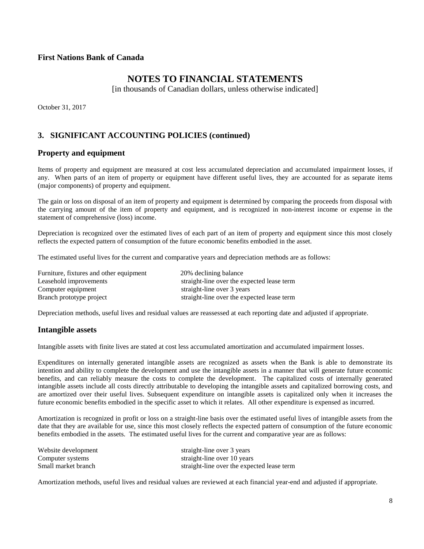## **NOTES TO FINANCIAL STATEMENTS**

[in thousands of Canadian dollars, unless otherwise indicated]

October 31, 2017

## **3. SIGNIFICANT ACCOUNTING POLICIES (continued)**

#### **Property and equipment**

Items of property and equipment are measured at cost less accumulated depreciation and accumulated impairment losses, if any. When parts of an item of property or equipment have different useful lives, they are accounted for as separate items (major components) of property and equipment.

The gain or loss on disposal of an item of property and equipment is determined by comparing the proceeds from disposal with the carrying amount of the item of property and equipment, and is recognized in non-interest income or expense in the statement of comprehensive (loss) income.

Depreciation is recognized over the estimated lives of each part of an item of property and equipment since this most closely reflects the expected pattern of consumption of the future economic benefits embodied in the asset.

The estimated useful lives for the current and comparative years and depreciation methods are as follows:

| Furniture, fixtures and other equipment | 20% declining balance                      |
|-----------------------------------------|--------------------------------------------|
| Leasehold improvements                  | straight-line over the expected lease term |
| Computer equipment                      | straight-line over 3 years                 |
| Branch prototype project                | straight-line over the expected lease term |

Depreciation methods, useful lives and residual values are reassessed at each reporting date and adjusted if appropriate.

#### **Intangible assets**

Intangible assets with finite lives are stated at cost less accumulated amortization and accumulated impairment losses.

Expenditures on internally generated intangible assets are recognized as assets when the Bank is able to demonstrate its intention and ability to complete the development and use the intangible assets in a manner that will generate future economic benefits, and can reliably measure the costs to complete the development. The capitalized costs of internally generated intangible assets include all costs directly attributable to developing the intangible assets and capitalized borrowing costs, and are amortized over their useful lives. Subsequent expenditure on intangible assets is capitalized only when it increases the future economic benefits embodied in the specific asset to which it relates. All other expenditure is expensed as incurred.

Amortization is recognized in profit or loss on a straight-line basis over the estimated useful lives of intangible assets from the date that they are available for use, since this most closely reflects the expected pattern of consumption of the future economic benefits embodied in the assets. The estimated useful lives for the current and comparative year are as follows:

| Website development | straight-line over 3 years                 |
|---------------------|--------------------------------------------|
| Computer systems    | straight-line over 10 years                |
| Small market branch | straight-line over the expected lease term |

Amortization methods, useful lives and residual values are reviewed at each financial year-end and adjusted if appropriate.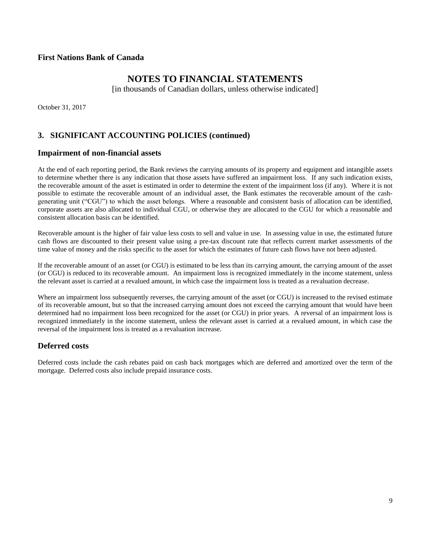## **NOTES TO FINANCIAL STATEMENTS**

[in thousands of Canadian dollars, unless otherwise indicated]

October 31, 2017

## **3. SIGNIFICANT ACCOUNTING POLICIES (continued)**

#### **Impairment of non-financial assets**

At the end of each reporting period, the Bank reviews the carrying amounts of its property and equipment and intangible assets to determine whether there is any indication that those assets have suffered an impairment loss. If any such indication exists, the recoverable amount of the asset is estimated in order to determine the extent of the impairment loss (if any). Where it is not possible to estimate the recoverable amount of an individual asset, the Bank estimates the recoverable amount of the cashgenerating unit ("CGU") to which the asset belongs. Where a reasonable and consistent basis of allocation can be identified, corporate assets are also allocated to individual CGU, or otherwise they are allocated to the CGU for which a reasonable and consistent allocation basis can be identified.

Recoverable amount is the higher of fair value less costs to sell and value in use. In assessing value in use, the estimated future cash flows are discounted to their present value using a pre-tax discount rate that reflects current market assessments of the time value of money and the risks specific to the asset for which the estimates of future cash flows have not been adjusted.

If the recoverable amount of an asset (or CGU) is estimated to be less than its carrying amount, the carrying amount of the asset (or CGU) is reduced to its recoverable amount. An impairment loss is recognized immediately in the income statement, unless the relevant asset is carried at a revalued amount, in which case the impairment loss is treated as a revaluation decrease.

Where an impairment loss subsequently reverses, the carrying amount of the asset (or CGU) is increased to the revised estimate of its recoverable amount, but so that the increased carrying amount does not exceed the carrying amount that would have been determined had no impairment loss been recognized for the asset (or CGU) in prior years. A reversal of an impairment loss is recognized immediately in the income statement, unless the relevant asset is carried at a revalued amount, in which case the reversal of the impairment loss is treated as a revaluation increase.

#### **Deferred costs**

Deferred costs include the cash rebates paid on cash back mortgages which are deferred and amortized over the term of the mortgage. Deferred costs also include prepaid insurance costs.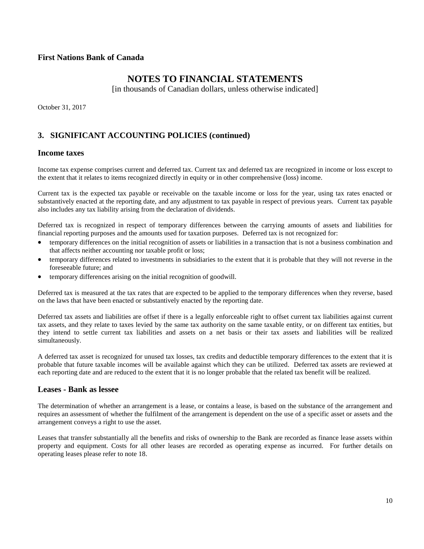## **NOTES TO FINANCIAL STATEMENTS**

[in thousands of Canadian dollars, unless otherwise indicated]

October 31, 2017

## **3. SIGNIFICANT ACCOUNTING POLICIES (continued)**

#### **Income taxes**

Income tax expense comprises current and deferred tax. Current tax and deferred tax are recognized in income or loss except to the extent that it relates to items recognized directly in equity or in other comprehensive (loss) income.

Current tax is the expected tax payable or receivable on the taxable income or loss for the year, using tax rates enacted or substantively enacted at the reporting date, and any adjustment to tax payable in respect of previous years. Current tax payable also includes any tax liability arising from the declaration of dividends.

Deferred tax is recognized in respect of temporary differences between the carrying amounts of assets and liabilities for financial reporting purposes and the amounts used for taxation purposes. Deferred tax is not recognized for:

- temporary differences on the initial recognition of assets or liabilities in a transaction that is not a business combination and that affects neither accounting nor taxable profit or loss;
- temporary differences related to investments in subsidiaries to the extent that it is probable that they will not reverse in the foreseeable future; and
- temporary differences arising on the initial recognition of goodwill.

Deferred tax is measured at the tax rates that are expected to be applied to the temporary differences when they reverse, based on the laws that have been enacted or substantively enacted by the reporting date.

Deferred tax assets and liabilities are offset if there is a legally enforceable right to offset current tax liabilities against current tax assets, and they relate to taxes levied by the same tax authority on the same taxable entity, or on different tax entities, but they intend to settle current tax liabilities and assets on a net basis or their tax assets and liabilities will be realized simultaneously.

A deferred tax asset is recognized for unused tax losses, tax credits and deductible temporary differences to the extent that it is probable that future taxable incomes will be available against which they can be utilized. Deferred tax assets are reviewed at each reporting date and are reduced to the extent that it is no longer probable that the related tax benefit will be realized.

#### **Leases - Bank as lessee**

The determination of whether an arrangement is a lease, or contains a lease, is based on the substance of the arrangement and requires an assessment of whether the fulfilment of the arrangement is dependent on the use of a specific asset or assets and the arrangement conveys a right to use the asset.

Leases that transfer substantially all the benefits and risks of ownership to the Bank are recorded as finance lease assets within property and equipment. Costs for all other leases are recorded as operating expense as incurred. For further details on operating leases please refer to note 18.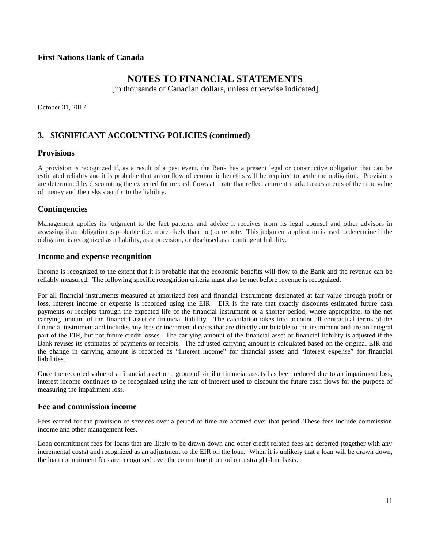## **NOTES TO FINANCIAL STATEMENTS**

[in thousands of Canadian dollars, unless otherwise indicated]

October 31, 2017

## **3. SIGNIFICANT ACCOUNTING POLICIES (continued)**

#### **Provisions**

A provision is recognized if, as a result of a past event, the Bank has a present legal or constructive obligation that can be estimated reliably and it is probable that an outflow of economic benefits will be required to settle the obligation. Provisions are determined by discounting the expected future cash flows at a rate that reflects current market assessments of the time value of money and the risks specific to the liability.

#### **Contingencies**

Management applies its judgment to the fact patterns and advice it receives from its legal counsel and other advisors in assessing if an obligation is probable (i.e. more likely than not) or remote. This judgment application is used to determine if the obligation is recognized as a liability, as a provision, or disclosed as a contingent liability.

#### **Income and expense recognition**

Income is recognized to the extent that it is probable that the economic benefits will flow to the Bank and the revenue can be reliably measured. The following specific recognition criteria must also be met before revenue is recognized.

For all financial instruments measured at amortized cost and financial instruments designated at fair value through profit or loss, interest income or expense is recorded using the EIR. EIR is the rate that exactly discounts estimated future cash payments or receipts through the expected life of the financial instrument or a shorter period, where appropriate, to the net carrying amount of the financial asset or financial liability. The calculation takes into account all contractual terms of the financial instrument and includes any fees or incremental costs that are directly attributable to the instrument and are an integral part of the EIR, but not future credit losses. The carrying amount of the financial asset or financial liability is adjusted if the Bank revises its estimates of payments or receipts. The adjusted carrying amount is calculated based on the original EIR and the change in carrying amount is recorded as "Interest income" for financial assets and "Interest expense" for financial liabilities.

Once the recorded value of a financial asset or a group of similar financial assets has been reduced due to an impairment loss, interest income continues to be recognized using the rate of interest used to discount the future cash flows for the purpose of measuring the impairment loss.

#### **Fee and commission income**

Fees earned for the provision of services over a period of time are accrued over that period. These fees include commission income and other management fees.

Loan commitment fees for loans that are likely to be drawn down and other credit related fees are deferred (together with any incremental costs) and recognized as an adjustment to the EIR on the loan. When it is unlikely that a loan will be drawn down, the loan commitment fees are recognized over the commitment period on a straight-line basis.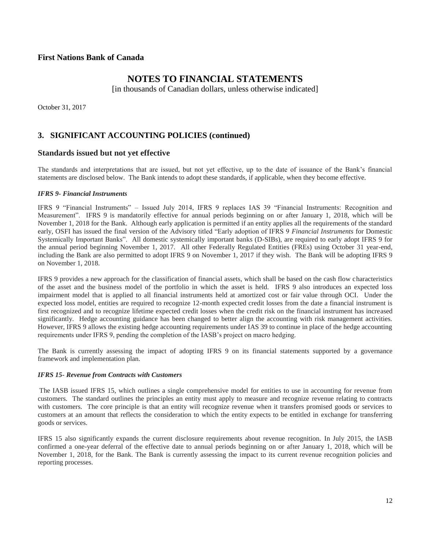## **NOTES TO FINANCIAL STATEMENTS**

[in thousands of Canadian dollars, unless otherwise indicated]

October 31, 2017

## **3. SIGNIFICANT ACCOUNTING POLICIES (continued)**

#### **Standards issued but not yet effective**

The standards and interpretations that are issued, but not yet effective, up to the date of issuance of the Bank's financial statements are disclosed below. The Bank intends to adopt these standards, if applicable, when they become effective.

#### *IFRS 9- Financial Instruments*

IFRS 9 "Financial Instruments" – Issued July 2014, IFRS 9 replaces IAS 39 "Financial Instruments: Recognition and Measurement". IFRS 9 is mandatorily effective for annual periods beginning on or after January 1, 2018, which will be November 1, 2018 for the Bank. Although early application is permitted if an entity applies all the requirements of the standard early, OSFI has issued the final version of the Advisory titled "Early adoption of IFRS 9 *Financial Instruments* for Domestic Systemically Important Banks". All domestic systemically important banks (D-SIBs), are required to early adopt IFRS 9 for the annual period beginning November 1, 2017. All other Federally Regulated Entities (FREs) using October 31 year-end, including the Bank are also permitted to adopt IFRS 9 on November 1, 2017 if they wish. The Bank will be adopting IFRS 9 on November 1, 2018.

IFRS 9 provides a new approach for the classification of financial assets, which shall be based on the cash flow characteristics of the asset and the business model of the portfolio in which the asset is held. IFRS 9 also introduces an expected loss impairment model that is applied to all financial instruments held at amortized cost or fair value through OCI. Under the expected loss model, entities are required to recognize 12-month expected credit losses from the date a financial instrument is first recognized and to recognize lifetime expected credit losses when the credit risk on the financial instrument has increased significantly. Hedge accounting guidance has been changed to better align the accounting with risk management activities. However, IFRS 9 allows the existing hedge accounting requirements under IAS 39 to continue in place of the hedge accounting requirements under IFRS 9, pending the completion of the IASB's project on macro hedging.

The Bank is currently assessing the impact of adopting IFRS 9 on its financial statements supported by a governance framework and implementation plan.

#### *IFRS 15- Revenue from Contracts with Customers*

The IASB issued IFRS 15, which outlines a single comprehensive model for entities to use in accounting for revenue from customers. The standard outlines the principles an entity must apply to measure and recognize revenue relating to contracts with customers. The core principle is that an entity will recognize revenue when it transfers promised goods or services to customers at an amount that reflects the consideration to which the entity expects to be entitled in exchange for transferring goods or services.

IFRS 15 also significantly expands the current disclosure requirements about revenue recognition. In July 2015, the IASB confirmed a one-year deferral of the effective date to annual periods beginning on or after January 1, 2018, which will be November 1, 2018, for the Bank. The Bank is currently assessing the impact to its current revenue recognition policies and reporting processes.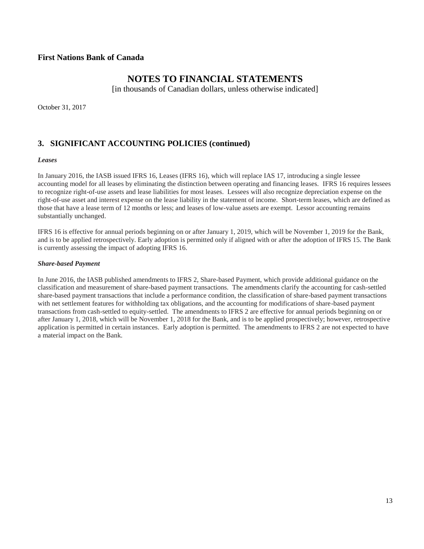## **NOTES TO FINANCIAL STATEMENTS**

[in thousands of Canadian dollars, unless otherwise indicated]

October 31, 2017

## **3. SIGNIFICANT ACCOUNTING POLICIES (continued)**

#### *Leases*

In January 2016, the IASB issued IFRS 16, Leases (IFRS 16), which will replace IAS 17, introducing a single lessee accounting model for all leases by eliminating the distinction between operating and financing leases. IFRS 16 requires lessees to recognize right-of-use assets and lease liabilities for most leases. Lessees will also recognize depreciation expense on the right-of-use asset and interest expense on the lease liability in the statement of income. Short-term leases, which are defined as those that have a lease term of 12 months or less; and leases of low-value assets are exempt. Lessor accounting remains substantially unchanged.

IFRS 16 is effective for annual periods beginning on or after January 1, 2019, which will be November 1, 2019 for the Bank, and is to be applied retrospectively. Early adoption is permitted only if aligned with or after the adoption of IFRS 15. The Bank is currently assessing the impact of adopting IFRS 16.

#### *Share-based Payment*

In June 2016, the IASB published amendments to IFRS 2, Share-based Payment, which provide additional guidance on the classification and measurement of share-based payment transactions. The amendments clarify the accounting for cash-settled share-based payment transactions that include a performance condition, the classification of share-based payment transactions with net settlement features for withholding tax obligations, and the accounting for modifications of share-based payment transactions from cash-settled to equity-settled. The amendments to IFRS 2 are effective for annual periods beginning on or after January 1, 2018, which will be November 1, 2018 for the Bank, and is to be applied prospectively; however, retrospective application is permitted in certain instances. Early adoption is permitted. The amendments to IFRS 2 are not expected to have a material impact on the Bank.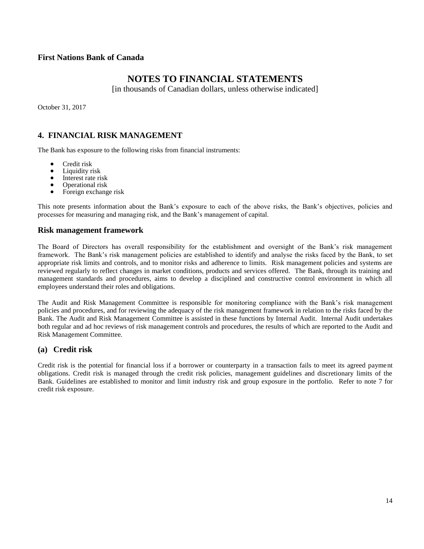## **NOTES TO FINANCIAL STATEMENTS**

[in thousands of Canadian dollars, unless otherwise indicated]

October 31, 2017

## **4. FINANCIAL RISK MANAGEMENT**

The Bank has exposure to the following risks from financial instruments:

- Credit risk
- Liquidity risk<br>• Interest rate ri
- Interest rate risk
- Operational risk
- Foreign exchange risk

This note presents information about the Bank's exposure to each of the above risks, the Bank's objectives, policies and processes for measuring and managing risk, and the Bank's management of capital.

#### **Risk management framework**

The Board of Directors has overall responsibility for the establishment and oversight of the Bank's risk management framework. The Bank's risk management policies are established to identify and analyse the risks faced by the Bank, to set appropriate risk limits and controls, and to monitor risks and adherence to limits. Risk management policies and systems are reviewed regularly to reflect changes in market conditions, products and services offered. The Bank, through its training and management standards and procedures, aims to develop a disciplined and constructive control environment in which all employees understand their roles and obligations.

The Audit and Risk Management Committee is responsible for monitoring compliance with the Bank's risk management policies and procedures, and for reviewing the adequacy of the risk management framework in relation to the risks faced by the Bank. The Audit and Risk Management Committee is assisted in these functions by Internal Audit. Internal Audit undertakes both regular and ad hoc reviews of risk management controls and procedures, the results of which are reported to the Audit and Risk Management Committee.

#### **(a) Credit risk**

Credit risk is the potential for financial loss if a borrower or counterparty in a transaction fails to meet its agreed payment obligations. Credit risk is managed through the credit risk policies, management guidelines and discretionary limits of the Bank. Guidelines are established to monitor and limit industry risk and group exposure in the portfolio. Refer to note 7 for credit risk exposure.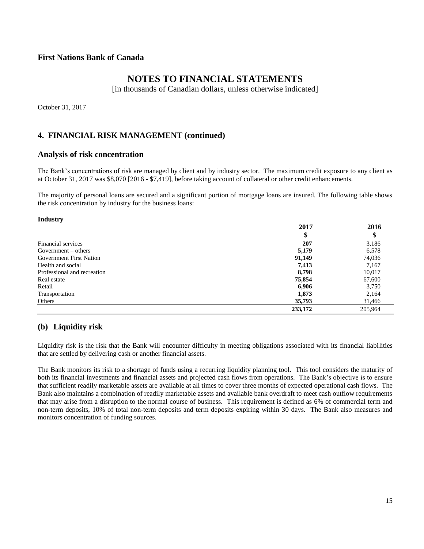## **NOTES TO FINANCIAL STATEMENTS**

[in thousands of Canadian dollars, unless otherwise indicated]

October 31, 2017

### **4. FINANCIAL RISK MANAGEMENT (continued)**

#### **Analysis of risk concentration**

The Bank's concentrations of risk are managed by client and by industry sector. The maximum credit exposure to any client as at October 31, 2017 was \$8,070 [2016 - \$7,419], before taking account of collateral or other credit enhancements.

The majority of personal loans are secured and a significant portion of mortgage loans are insured. The following table shows the risk concentration by industry for the business loans:

#### **Industry**

|                                | 2017    | 2016    |
|--------------------------------|---------|---------|
|                                | \$      | \$      |
| Financial services             | 207     | 3,186   |
| $Government - others$          | 5,179   | 6,578   |
| <b>Government First Nation</b> | 91,149  | 74,036  |
| Health and social              | 7,413   | 7.167   |
| Professional and recreation    | 8,798   | 10,017  |
| Real estate                    | 75,854  | 67,600  |
| Retail                         | 6.906   | 3,750   |
| Transportation                 | 1,873   | 2,164   |
| Others                         | 35,793  | 31,466  |
|                                | 233,172 | 205,964 |

#### **(b) Liquidity risk**

Liquidity risk is the risk that the Bank will encounter difficulty in meeting obligations associated with its financial liabilities that are settled by delivering cash or another financial assets.

The Bank monitors its risk to a shortage of funds using a recurring liquidity planning tool. This tool considers the maturity of both its financial investments and financial assets and projected cash flows from operations. The Bank's objective is to ensure that sufficient readily marketable assets are available at all times to cover three months of expected operational cash flows. The Bank also maintains a combination of readily marketable assets and available bank overdraft to meet cash outflow requirements that may arise from a disruption to the normal course of business. This requirement is defined as 6% of commercial term and non-term deposits, 10% of total non-term deposits and term deposits expiring within 30 days. The Bank also measures and monitors concentration of funding sources.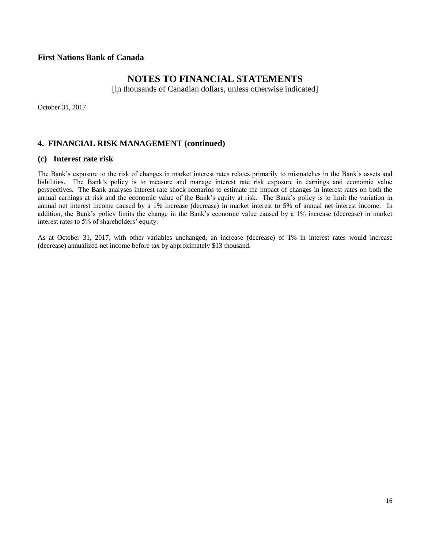## **NOTES TO FINANCIAL STATEMENTS**

[in thousands of Canadian dollars, unless otherwise indicated]

October 31, 2017

## **4. FINANCIAL RISK MANAGEMENT (continued)**

#### **(c) Interest rate risk**

The Bank's exposure to the risk of changes in market interest rates relates primarily to mismatches in the Bank's assets and liabilities. The Bank's policy is to measure and manage interest rate risk exposure in earnings and economic value perspectives. The Bank analyses interest rate shock scenarios to estimate the impact of changes in interest rates on both the annual earnings at risk and the economic value of the Bank's equity at risk. The Bank's policy is to limit the variation in annual net interest income caused by a 1% increase (decrease) in market interest to 5% of annual net interest income. In addition, the Bank's policy limits the change in the Bank's economic value caused by a 1% increase (decrease) in market interest rates to 5% of shareholders' equity.

As at October 31, 2017, with other variables unchanged, an increase (decrease) of 1% in interest rates would increase (decrease) annualized net income before tax by approximately \$13 thousand.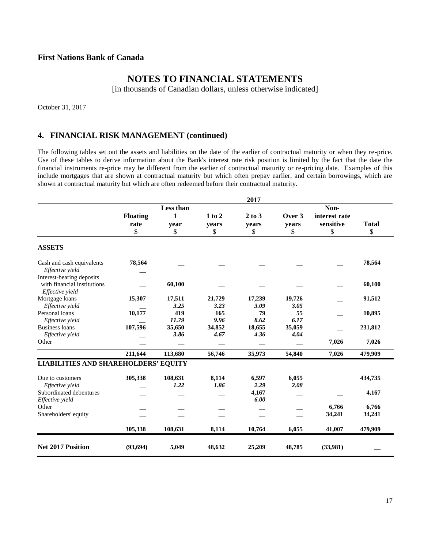## **NOTES TO FINANCIAL STATEMENTS**

[in thousands of Canadian dollars, unless otherwise indicated]

October 31, 2017

#### **4. FINANCIAL RISK MANAGEMENT (continued)**

The following tables set out the assets and liabilities on the date of the earlier of contractual maturity or when they re-price. Use of these tables to derive information about the Bank's interest rate risk position is limited by the fact that the date the financial instruments re-price may be different from the earlier of contractual maturity or re-pricing date. Examples of this include mortgages that are shown at contractual maturity but which often prepay earlier, and certain borrowings, which are shown at contractual maturity but which are often redeemed before their contractual maturity.

|                                             |                 |                |                | 2017           |                |               |              |
|---------------------------------------------|-----------------|----------------|----------------|----------------|----------------|---------------|--------------|
|                                             |                 | Less than      |                |                |                | Non-          |              |
|                                             | <b>Floating</b> | 1              | 1 to 2         | $2$ to $3$     | Over 3         | interest rate |              |
|                                             | rate            | year           | years          | years          | years          | sensitive     | <b>Total</b> |
|                                             | \$              | \$             | \$             | \$             | \$             | \$            | \$           |
| <b>ASSETS</b>                               |                 |                |                |                |                |               |              |
| Cash and cash equivalents                   | 78,564          |                |                |                |                |               | 78,564       |
| Effective yield                             |                 |                |                |                |                |               |              |
| Interest-bearing deposits                   |                 |                |                |                |                |               |              |
| with financial institutions                 |                 | 60,100         |                |                |                |               | 60,100       |
| Effective yield                             |                 |                |                |                |                |               |              |
| Mortgage loans<br>Effective yield           | 15,307          | 17,511<br>3.25 | 21,729<br>3.23 | 17,239<br>3.09 | 19,726<br>3.05 |               | 91,512       |
| Personal loans                              | 10,177          | 419            | 165            | 79             | 55             |               |              |
| Effective yield                             |                 | 11.79          | 9.96           | 8.62           | 6.17           |               | 10,895       |
| <b>Business loans</b>                       | 107,596         |                | 34,852         | 18,655         | 35,059         |               |              |
| Effective vield                             |                 | 35,650<br>3.86 | 4.67           | 4.36           | 4.04           |               | 231,812      |
| Other                                       |                 |                |                |                |                | 7,026         | 7,026        |
|                                             |                 |                |                |                |                |               |              |
|                                             | 211,644         | 113,680        | 56,746         | 35,973         | 54,840         | 7,026         | 479,909      |
| <b>LIABILITIES AND SHAREHOLDERS' EQUITY</b> |                 |                |                |                |                |               |              |
| Due to customers                            | 305,338         | 108,631        | 8,114          | 6,597          | 6,055          |               | 434,735      |
| Effective yield                             |                 | 1.22           | 1.86           | 2.29           | 2.08           |               |              |
| Subordinated debentures                     |                 |                |                | 4,167          |                |               | 4,167        |
| Effective yield                             |                 |                |                | 6.00           |                |               |              |
| Other                                       |                 |                |                |                |                | 6,766         | 6,766        |
| Shareholders' equity                        |                 |                |                |                |                | 34,241        | 34,241       |
|                                             | 305,338         | 108,631        | 8,114          | 10,764         | 6,055          | 41,007        | 479,909      |
|                                             |                 |                |                |                |                | (33,981)      |              |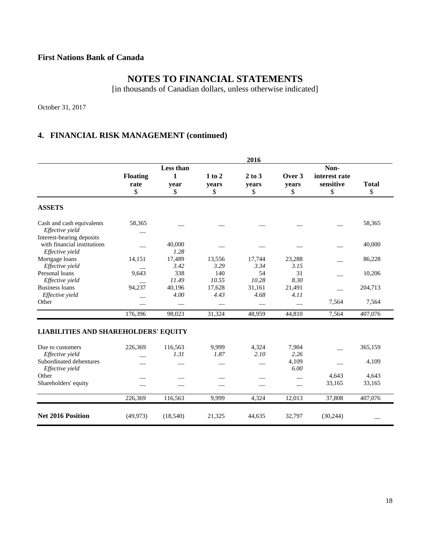## **NOTES TO FINANCIAL STATEMENTS**

[in thousands of Canadian dollars, unless otherwise indicated]

October 31, 2017

## **4. FINANCIAL RISK MANAGEMENT (continued)**

|                                             |                 |           |        | 2016       |               |               |              |
|---------------------------------------------|-----------------|-----------|--------|------------|---------------|---------------|--------------|
|                                             |                 | Less than |        |            |               | Non-          |              |
|                                             | <b>Floating</b> | 1         | 1 to 2 | $2$ to $3$ | Over 3        | interest rate |              |
|                                             | rate            | year      | years  | years      | years         | sensitive     | <b>Total</b> |
|                                             | \$              | \$        | \$     | \$         | \$            | $\$\,$        | \$           |
| <b>ASSETS</b>                               |                 |           |        |            |               |               |              |
| Cash and cash equivalents                   | 58,365          |           |        |            |               |               | 58,365       |
| Effective yield                             |                 |           |        |            |               |               |              |
| Interest-bearing deposits                   |                 |           |        |            |               |               |              |
| with financial institutions                 |                 | 40,000    |        |            |               |               | 40,000       |
| Effective yield                             |                 | 1.28      |        |            |               |               |              |
| Mortgage loans                              | 14,151          | 17,489    | 13,556 | 17,744     | 23,288        |               | 86,228       |
| Effective yield                             |                 | 3.42      | 3.29   | 3.34       | 3.15          |               |              |
| Personal loans                              | 9,643           | 338       | 140    | 54         | 31            |               | 10,206       |
| Effective yield                             |                 | 11.49     | 10.55  | 10.28      | 8.30          |               |              |
| <b>Business loans</b>                       | 94,237          | 40,196    | 17,628 | 31,161     | 21,491        |               | 204,713      |
| Effective yield                             |                 | 4.00      | 4.43   | 4.68       | 4.11          |               |              |
| Other                                       |                 |           |        |            |               | 7,564         | 7,564        |
|                                             | 176,396         | 98,023    | 31,324 | 48,959     | 44,810        | 7,564         | 407,076      |
| <b>LIABILITIES AND SHAREHOLDERS' EQUITY</b> |                 |           |        |            |               |               |              |
| Due to customers                            | 226,369         | 116,563   | 9.999  | 4,324      | 7,904         |               | 365,159      |
| Effective yield                             |                 | 1.31      | 1.87   | 2.10       | 2.26          |               |              |
| Subordinated debentures                     |                 |           |        |            | 4,109<br>6.00 |               | 4,109        |
| Effective yield<br>Other                    |                 |           |        |            |               | 4,643         | 4,643        |
| Shareholders' equity                        |                 |           |        |            |               | 33,165        | 33,165       |
|                                             |                 |           |        |            |               |               |              |
|                                             | 226,369         | 116,563   | 9.999  | 4,324      | 12,013        | 37,808        | 407,076      |
| <b>Net 2016 Position</b>                    | (49, 973)       | (18,540)  | 21,325 | 44,635     | 32,797        | (30, 244)     |              |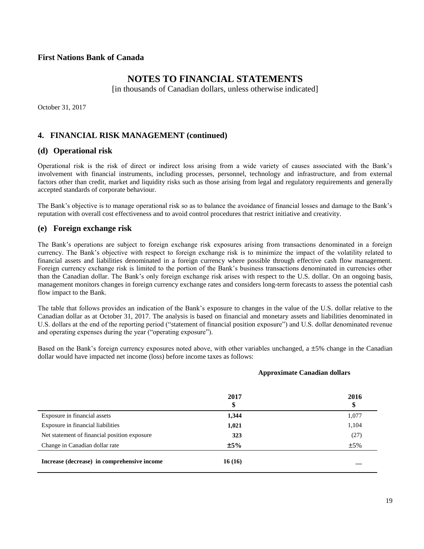## **NOTES TO FINANCIAL STATEMENTS**

[in thousands of Canadian dollars, unless otherwise indicated]

October 31, 2017

### **4. FINANCIAL RISK MANAGEMENT (continued)**

#### **(d) Operational risk**

Operational risk is the risk of direct or indirect loss arising from a wide variety of causes associated with the Bank's involvement with financial instruments, including processes, personnel, technology and infrastructure, and from external factors other than credit, market and liquidity risks such as those arising from legal and regulatory requirements and generally accepted standards of corporate behaviour.

The Bank's objective is to manage operational risk so as to balance the avoidance of financial losses and damage to the Bank's reputation with overall cost effectiveness and to avoid control procedures that restrict initiative and creativity.

#### **(e) Foreign exchange risk**

The Bank's operations are subject to foreign exchange risk exposures arising from transactions denominated in a foreign currency. The Bank's objective with respect to foreign exchange risk is to minimize the impact of the volatility related to financial assets and liabilities denominated in a foreign currency where possible through effective cash flow management. Foreign currency exchange risk is limited to the portion of the Bank's business transactions denominated in currencies other than the Canadian dollar. The Bank's only foreign exchange risk arises with respect to the U.S. dollar. On an ongoing basis, management monitors changes in foreign currency exchange rates and considers long-term forecasts to assess the potential cash flow impact to the Bank.

The table that follows provides an indication of the Bank's exposure to changes in the value of the U.S. dollar relative to the Canadian dollar as at October 31, 2017. The analysis is based on financial and monetary assets and liabilities denominated in U.S. dollars at the end of the reporting period ("statement of financial position exposure") and U.S. dollar denominated revenue and operating expenses during the year ("operating exposure").

Based on the Bank's foreign currency exposures noted above, with other variables unchanged, a  $\pm 5\%$  change in the Canadian dollar would have impacted net income (loss) before income taxes as follows:

|                                              | <b>Approximate Canadian dollars</b> |            |  |
|----------------------------------------------|-------------------------------------|------------|--|
|                                              | 2017<br>\$                          | 2016<br>\$ |  |
| Exposure in financial assets                 | 1,344                               | 1,077      |  |
| Exposure in financial liabilities            | 1,021                               | 1,104      |  |
| Net statement of financial position exposure | 323                                 | (27)       |  |
| Change in Canadian dollar rate               | $±5\%$                              | $±5\%$     |  |
| Increase (decrease) in comprehensive income  | 16(16)                              |            |  |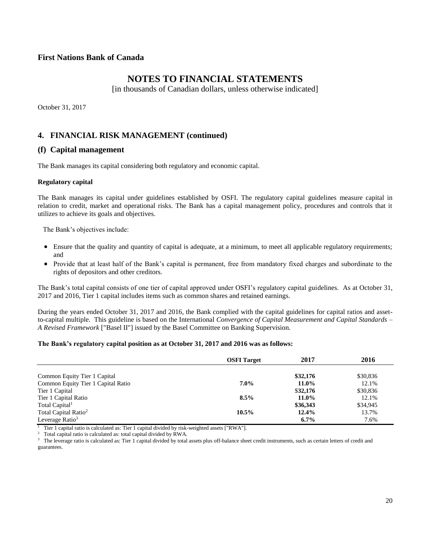## **NOTES TO FINANCIAL STATEMENTS**

[in thousands of Canadian dollars, unless otherwise indicated]

October 31, 2017

### **4. FINANCIAL RISK MANAGEMENT (continued)**

#### **(f) Capital management**

The Bank manages its capital considering both regulatory and economic capital.

#### **Regulatory capital**

The Bank manages its capital under guidelines established by OSFI. The regulatory capital guidelines measure capital in relation to credit, market and operational risks. The Bank has a capital management policy, procedures and controls that it utilizes to achieve its goals and objectives.

The Bank's objectives include:

- Ensure that the quality and quantity of capital is adequate, at a minimum, to meet all applicable regulatory requirements; and
- Provide that at least half of the Bank's capital is permanent, free from mandatory fixed charges and subordinate to the rights of depositors and other creditors.

The Bank's total capital consists of one tier of capital approved under OSFI's regulatory capital guidelines. As at October 31, 2017 and 2016, Tier 1 capital includes items such as common shares and retained earnings.

During the years ended October 31, 2017 and 2016, the Bank complied with the capital guidelines for capital ratios and assetto-capital multiple. This guideline is based on the International *Convergence of Capital Measurement and Capital Standards – A Revised Framework* ["Basel II"] issued by the Basel Committee on Banking Supervision.

#### **The Bank's regulatory capital position as at October 31, 2017 and 2016 was as follows:**

|                                    | <b>OSFI</b> Target | 2017     | 2016     |
|------------------------------------|--------------------|----------|----------|
|                                    |                    |          |          |
| Common Equity Tier 1 Capital       |                    | \$32,176 | \$30,836 |
| Common Equity Tier 1 Capital Ratio | $7.0\%$            | 11.0%    | 12.1%    |
| Tier 1 Capital                     |                    | \$32,176 | \$30,836 |
| Tier 1 Capital Ratio               | $8.5\%$            | 11.0%    | 12.1%    |
| Total Capital <sup>1</sup>         |                    | \$36,343 | \$34,945 |
| Total Capital Ratio <sup>2</sup>   | 10.5%              | $12.4\%$ | 13.7%    |
| Leverage Ratio <sup>3</sup>        |                    | $6.7\%$  | 7.6%     |

1 Tier 1 capital ratio is calculated as: Tier 1 capital divided by risk-weighted assets ["RWA"].

Total capital ratio is calculated as: total capital divided by RWA.

3 The leverage ratio is calculated as: Tier 1 capital divided by total assets plus off-balance sheet credit instruments, such as certain letters of credit and guarantees.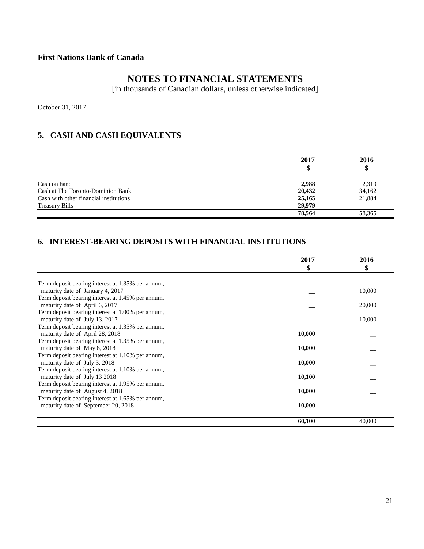## **NOTES TO FINANCIAL STATEMENTS**

[in thousands of Canadian dollars, unless otherwise indicated]

October 31, 2017

# **5. CASH AND CASH EQUIVALENTS**

|                                        | 2017   | 2016   |
|----------------------------------------|--------|--------|
|                                        |        |        |
| Cash on hand                           | 2,988  | 2,319  |
| Cash at The Toronto-Dominion Bank      | 20,432 | 34,162 |
| Cash with other financial institutions | 25,165 | 21,884 |
| <b>Treasury Bills</b>                  | 29,979 |        |
|                                        | 78,564 | 58,365 |

## **6. INTEREST-BEARING DEPOSITS WITH FINANCIAL INSTITUTIONS**

|                                                                                      | 2017<br>\$ | 2016<br>\$ |
|--------------------------------------------------------------------------------------|------------|------------|
| Term deposit bearing interest at 1.35% per annum,                                    |            |            |
| maturity date of January 4, 2017                                                     |            | 10,000     |
| Term deposit bearing interest at 1.45% per annum,                                    |            |            |
| maturity date of April 6, 2017                                                       |            | 20,000     |
| Term deposit bearing interest at 1.00% per annum,                                    |            |            |
| maturity date of July 13, 2017                                                       |            | 10,000     |
| Term deposit bearing interest at 1.35% per annum,<br>maturity date of April 28, 2018 | 10,000     |            |
| Term deposit bearing interest at 1.35% per annum,                                    |            |            |
| maturity date of May 8, 2018                                                         | 10,000     |            |
| Term deposit bearing interest at 1.10% per annum,                                    |            |            |
| maturity date of July 3, 2018                                                        | 10,000     |            |
| Term deposit bearing interest at 1.10% per annum,                                    |            |            |
| maturity date of July 13 2018                                                        | 10,100     |            |
| Term deposit bearing interest at 1.95% per annum,<br>maturity date of August 4, 2018 | 10,000     |            |
| Term deposit bearing interest at 1.65% per annum,                                    |            |            |
| maturity date of September 20, 2018                                                  | 10,000     |            |
|                                                                                      |            |            |
|                                                                                      | 60,100     | 40,000     |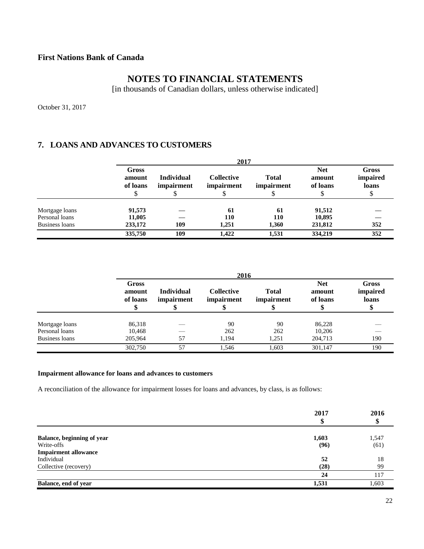## **NOTES TO FINANCIAL STATEMENTS**

[in thousands of Canadian dollars, unless otherwise indicated]

October 31, 2017

### **7. LOANS AND ADVANCES TO CUSTOMERS**

|                |                             | 2017                            |                                 |                            |                                       |                                 |
|----------------|-----------------------------|---------------------------------|---------------------------------|----------------------------|---------------------------------------|---------------------------------|
|                | Gross<br>amount<br>of loans | <b>Individual</b><br>impairment | <b>Collective</b><br>impairment | <b>Total</b><br>impairment | <b>Net</b><br>amount<br>of loans<br>◡ | Gross<br>impaired<br>loans<br>⊅ |
| Mortgage loans | 91,573                      |                                 | 61                              | 61                         | 91,512                                |                                 |
| Personal loans | 11,005                      |                                 | 110                             | 110                        | 10,895                                |                                 |
| Business loans | 233,172                     | 109                             | 1,251                           | 1,360                      | 231,812                               | 352                             |
|                | 335,750                     | 109                             | 1,422                           | 1,531                      | 334,219                               | 352                             |

|                |                                    | 2016                            |                                 |                            |                                  |                                 |
|----------------|------------------------------------|---------------------------------|---------------------------------|----------------------------|----------------------------------|---------------------------------|
|                | <b>Gross</b><br>amount<br>of loans | <b>Individual</b><br>impairment | <b>Collective</b><br>impairment | <b>Total</b><br>impairment | <b>Net</b><br>amount<br>of loans | Gross<br>impaired<br>loans<br>S |
| Mortgage loans | 86,318                             |                                 | 90                              | 90                         | 86,228                           |                                 |
| Personal loans | 10,468                             |                                 | 262                             | 262                        | 10,206                           |                                 |
| Business loans | 205,964                            | 57                              | 1,194                           | 1,251                      | 204,713                          | 190                             |
|                | 302,750                            | 57                              | 1,546                           | 1,603                      | 301,147                          | 190                             |

#### **Impairment allowance for loans and advances to customers**

A reconciliation of the allowance for impairment losses for loans and advances, by class, is as follows:

|                             | 2017<br>\$ | 2016<br>Ψ |
|-----------------------------|------------|-----------|
| Balance, beginning of year  | 1,603      | 1,547     |
| Write-offs                  | (96)       | (61)      |
| <b>Impairment allowance</b> |            |           |
| Individual                  | 52         | 18        |
| Collective (recovery)       | (28)       | 99        |
|                             | 24         | 117       |
| Balance, end of year        | 1,531      | 1,603     |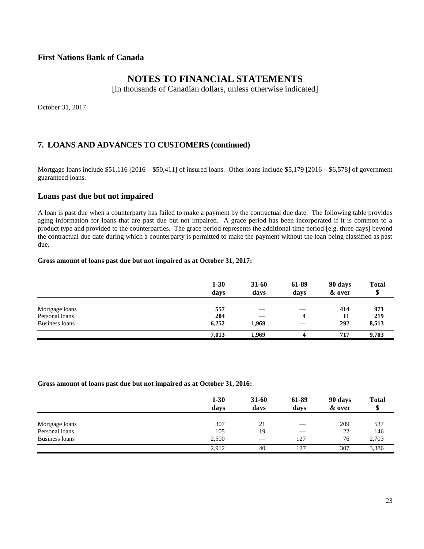## **NOTES TO FINANCIAL STATEMENTS**

[in thousands of Canadian dollars, unless otherwise indicated]

October 31, 2017

## **7. LOANS AND ADVANCES TO CUSTOMERS (continued)**

Mortgage loans include \$51,116 [2016 – \$50,411] of insured loans. Other loans include \$5,179 [2016 – \$6,578] of government guaranteed loans.

#### **Loans past due but not impaired**

A loan is past due when a counterparty has failed to make a payment by the contractual due date. The following table provides aging information for loans that are past due but not impaired. A grace period has been incorporated if it is common to a product type and provided to the counterparties. The grace period represents the additional time period [e.g. three days] beyond the contractual due date during which a counterparty is permitted to make the payment without the loan being classified as past due.

#### **Gross amount of loans past due but not impaired as at October 31, 2017:**

|                | $1 - 30$<br>days | 31-60<br>days | 61-89<br>days | 90 days<br>& over | <b>Total</b> |
|----------------|------------------|---------------|---------------|-------------------|--------------|
|                |                  |               |               |                   |              |
| Mortgage loans | 557              |               |               | 414               | 971          |
| Personal loans | 204              | $\sim$        | 4             | 11                | 219          |
| Business loans | 6,252            | 1,969         |               | 292               | 8,513        |
|                | 7,013            | 1.969         | $\Delta$      | 717               | 9,703        |

#### **Gross amount of loans past due but not impaired as at October 31, 2016:**

|                | $1 - 30$<br>days | 31-60<br>davs | 61-89<br>davs            | 90 days<br>& over | <b>Total</b><br>۰D |
|----------------|------------------|---------------|--------------------------|-------------------|--------------------|
|                |                  |               |                          |                   |                    |
| Mortgage loans | 307              | 21            | $\overline{\phantom{m}}$ | 209               | 537                |
| Personal loans | 105              | 19            |                          | 22                | 146                |
| Business loans | 2,500            |               | 127                      | 76                | 2,703              |
|                | 2,912            | 40            | 127                      | 307               | 3,386              |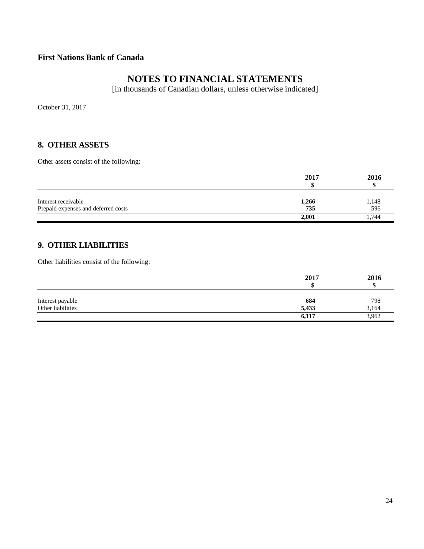## **NOTES TO FINANCIAL STATEMENTS**

[in thousands of Canadian dollars, unless otherwise indicated]

October 31, 2017

### **8. OTHER ASSETS**

Other assets consist of the following:

|                                     | 2017  | 2016  |
|-------------------------------------|-------|-------|
| Interest receivable                 | 1,266 | 1,148 |
| Prepaid expenses and deferred costs | 735   | 596   |
|                                     | 2,001 | 1.744 |

## **9. OTHER LIABILITIES**

Other liabilities consist of the following:

|                   | 2017<br>٠D | 2016  |
|-------------------|------------|-------|
| Interest payable  | 684        | 798   |
| Other liabilities | 5,433      | 3,164 |
|                   | 6,117      | 3,962 |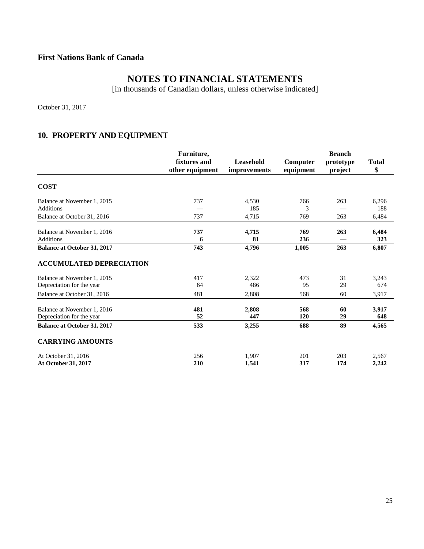## **NOTES TO FINANCIAL STATEMENTS**

[in thousands of Canadian dollars, unless otherwise indicated]

October 31, 2017

## **10. PROPERTY AND EQUIPMENT**

|                                                          | Furniture,      |                |            | <b>Branch</b> |                |  |
|----------------------------------------------------------|-----------------|----------------|------------|---------------|----------------|--|
|                                                          | fixtures and    | Leasehold      | Computer   | prototype     | <b>Total</b>   |  |
|                                                          | other equipment | improvements   | equipment  | project       | \$             |  |
| <b>COST</b>                                              |                 |                |            |               |                |  |
| Balance at November 1, 2015<br>Additions                 | 737             | 4,530<br>185   | 766<br>3   | 263           | 6,296<br>188   |  |
| Balance at October 31, 2016                              | 737             | 4,715          | 769        | 263           | 6,484          |  |
| Balance at November 1, 2016<br><b>Additions</b>          | 737<br>6        | 4,715<br>81    | 769<br>236 | 263           | 6,484<br>323   |  |
| <b>Balance at October 31, 2017</b>                       | 743             | 4,796          | 1,005      | 263           | 6,807          |  |
| <b>ACCUMULATED DEPRECIATION</b>                          |                 |                |            |               |                |  |
| Balance at November 1, 2015                              | 417             | 2,322          | 473        | 31            | 3,243          |  |
| Depreciation for the year                                | 64              | 486            | 95         | 29            | 674            |  |
| Balance at October 31, 2016                              | 481             | 2,808          | 568        | 60            | 3,917          |  |
| Balance at November 1, 2016<br>Depreciation for the year | 481<br>52       | 2,808<br>447   | 568<br>120 | 60<br>29      | 3,917<br>648   |  |
| <b>Balance at October 31, 2017</b>                       | 533             | 3,255          | 688        | 89            | 4,565          |  |
| <b>CARRYING AMOUNTS</b>                                  |                 |                |            |               |                |  |
| At October 31, 2016<br>At October 31, 2017               | 256<br>210      | 1,907<br>1,541 | 201<br>317 | 203<br>174    | 2,567<br>2,242 |  |
|                                                          |                 |                |            |               |                |  |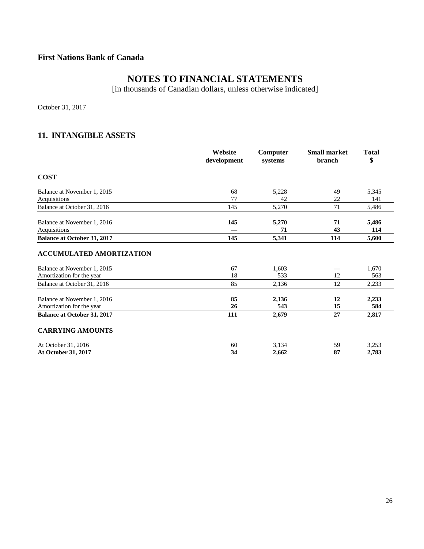## **NOTES TO FINANCIAL STATEMENTS**

[in thousands of Canadian dollars, unless otherwise indicated]

October 31, 2017

## **11. INTANGIBLE ASSETS**

|                                                          | Website<br>development | Computer<br>systems | <b>Small market</b><br>branch | <b>Total</b><br>\$ |
|----------------------------------------------------------|------------------------|---------------------|-------------------------------|--------------------|
| <b>COST</b>                                              |                        |                     |                               |                    |
| Balance at November 1, 2015<br>Acquisitions              | 68<br>77               | 5,228<br>42         | 49<br>22                      | 5,345<br>141       |
| Balance at October 31, 2016                              | 145                    | 5,270               | 71                            | 5,486              |
| Balance at November 1, 2016<br>Acquisitions              | 145                    | 5,270<br>71         | 71<br>43                      | 5,486<br>114       |
| <b>Balance at October 31, 2017</b>                       | 145                    | 5,341               | 114                           | 5,600              |
| <b>ACCUMULATED AMORTIZATION</b>                          |                        |                     |                               |                    |
| Balance at November 1, 2015<br>Amortization for the year | 67<br>18               | 1,603<br>533        | 12                            | 1,670<br>563       |
| Balance at October 31, 2016                              | 85                     | 2,136               | 12                            | 2,233              |
| Balance at November 1, 2016<br>Amortization for the year | 85<br>26               | 2,136<br>543        | 12<br>15                      | 2,233<br>584       |
| <b>Balance at October 31, 2017</b>                       | 111                    | 2,679               | 27                            | 2,817              |
| <b>CARRYING AMOUNTS</b>                                  |                        |                     |                               |                    |
| At October 31, 2016<br>At October 31, 2017               | 60<br>34               | 3,134<br>2,662      | 59<br>87                      | 3,253<br>2,783     |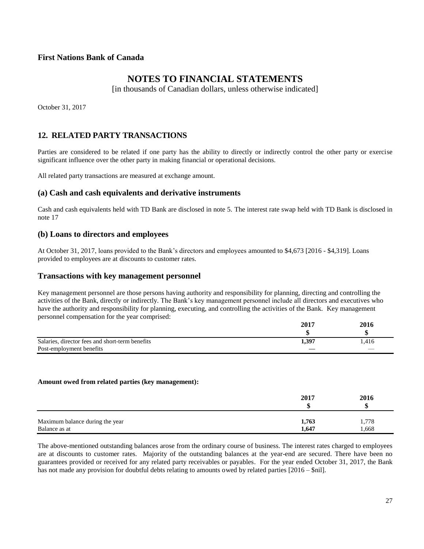## **NOTES TO FINANCIAL STATEMENTS**

[in thousands of Canadian dollars, unless otherwise indicated]

October 31, 2017

### **12. RELATED PARTY TRANSACTIONS**

Parties are considered to be related if one party has the ability to directly or indirectly control the other party or exercise significant influence over the other party in making financial or operational decisions.

All related party transactions are measured at exchange amount.

#### **(a) Cash and cash equivalents and derivative instruments**

Cash and cash equivalents held with TD Bank are disclosed in note 5. The interest rate swap held with TD Bank is disclosed in note 17

#### **(b) Loans to directors and employees**

At October 31, 2017, loans provided to the Bank's directors and employees amounted to \$4,673 [2016 - \$4,319]. Loans provided to employees are at discounts to customer rates.

#### **Transactions with key management personnel**

Key management personnel are those persons having authority and responsibility for planning, directing and controlling the activities of the Bank, directly or indirectly. The Bank's key management personnel include all directors and executives who have the authority and responsibility for planning, executing, and controlling the activities of the Bank. Key management personnel compensation for the year comprised:

|                                                 | 2017  | 2016 |
|-------------------------------------------------|-------|------|
|                                                 |       |      |
| Salaries, director fees and short-term benefits | 1.397 | .416 |
| Post-employment benefits                        |       | __   |

#### **Amount owed from related parties (key management):**

|                                 | 2017<br>¢ | 2016  |
|---------------------------------|-----------|-------|
| Maximum balance during the year | 1,763     | 1,778 |
| Balance as at                   | 1,647     | 1,668 |

The above-mentioned outstanding balances arose from the ordinary course of business. The interest rates charged to employees are at discounts to customer rates. Majority of the outstanding balances at the year-end are secured. There have been no guarantees provided or received for any related party receivables or payables. For the year ended October 31, 2017, the Bank has not made any provision for doubtful debts relating to amounts owed by related parties [2016 – \$nil].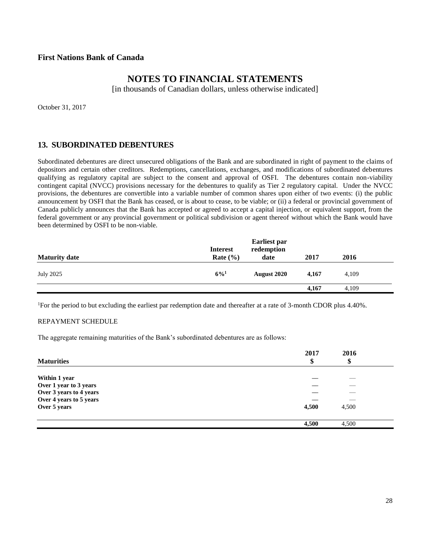## **NOTES TO FINANCIAL STATEMENTS**

[in thousands of Canadian dollars, unless otherwise indicated]

October 31, 2017

### **13. SUBORDINATED DEBENTURES**

Subordinated debentures are direct unsecured obligations of the Bank and are subordinated in right of payment to the claims of depositors and certain other creditors. Redemptions, cancellations, exchanges, and modifications of subordinated debentures qualifying as regulatory capital are subject to the consent and approval of OSFI. The debentures contain non-viability contingent capital (NVCC) provisions necessary for the debentures to qualify as Tier 2 regulatory capital. Under the NVCC provisions, the debentures are convertible into a variable number of common shares upon either of two events: (i) the public announcement by OSFI that the Bank has ceased, or is about to cease, to be viable; or (ii) a federal or provincial government of Canada publicly announces that the Bank has accepted or agreed to accept a capital injection, or equivalent support, from the federal government or any provincial government or political subdivision or agent thereof without which the Bank would have been determined by OSFI to be non-viable.

| <b>Maturity date</b> | <b>Interest</b><br>Rate $(\% )$ | <b>Earliest par</b><br>redemption<br>date | 2017  | 2016  |  |
|----------------------|---------------------------------|-------------------------------------------|-------|-------|--|
| July 2025            | $6\%$ <sup>1</sup>              | <b>August 2020</b>                        | 4.167 | 4,109 |  |
|                      |                                 |                                           | 4,167 | 4,109 |  |

<sup>1</sup>For the period to but excluding the earliest par redemption date and thereafter at a rate of 3-month CDOR plus 4.40%.

#### REPAYMENT SCHEDULE

The aggregate remaining maturities of the Bank's subordinated debentures are as follows:

| <b>Maturities</b>       | 2017<br>\$ | 2016<br>Φ |  |
|-------------------------|------------|-----------|--|
|                         |            |           |  |
| Within 1 year           |            |           |  |
| Over 1 year to 3 years  |            |           |  |
| Over 3 years to 4 years |            | __        |  |
| Over 4 years to 5 years |            |           |  |
| Over 5 years            | 4,500      | 4,500     |  |
|                         |            |           |  |
|                         | 4,500      | 4,500     |  |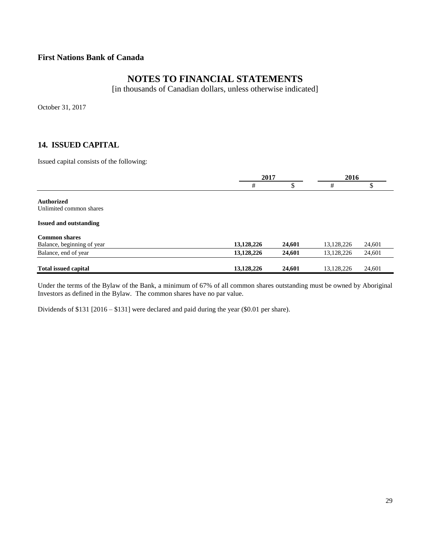## **NOTES TO FINANCIAL STATEMENTS**

[in thousands of Canadian dollars, unless otherwise indicated]

October 31, 2017

### **14. ISSUED CAPITAL**

Issued capital consists of the following:

|                               |            | 2017   |            | 2016   |
|-------------------------------|------------|--------|------------|--------|
|                               | #          | \$     | #          | Φ      |
| <b>Authorized</b>             |            |        |            |        |
| Unlimited common shares       |            |        |            |        |
| <b>Issued and outstanding</b> |            |        |            |        |
| <b>Common shares</b>          |            |        |            |        |
| Balance, beginning of year    | 13,128,226 | 24,601 | 13,128,226 | 24,601 |
| Balance, end of year          | 13,128,226 | 24,601 | 13,128,226 | 24,601 |
| <b>Total issued capital</b>   | 13,128,226 | 24,601 | 13,128,226 | 24,601 |

Under the terms of the Bylaw of the Bank, a minimum of 67% of all common shares outstanding must be owned by Aboriginal Investors as defined in the Bylaw. The common shares have no par value.

Dividends of \$131 [2016 – \$131] were declared and paid during the year (\$0.01 per share).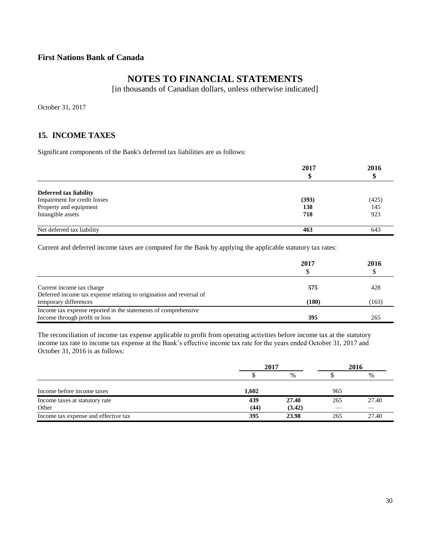## **NOTES TO FINANCIAL STATEMENTS**

[in thousands of Canadian dollars, unless otherwise indicated]

October 31, 2017

### **15. INCOME TAXES**

Significant components of the Bank's deferred tax liabilities are as follows:

|                              | 2017  | 2016  |
|------------------------------|-------|-------|
| Deferred tax liability       |       |       |
| Impairment for credit losses | (393) | (425) |
| Property and equipment       | 138   | 145   |
| Intangible assets            | 718   | 923   |
| Net deferred tax liability   | 463   | 643   |

Current and deferred income taxes are computed for the Bank by applying the applicable statutory tax rates:

|                                                                                                 | 2017  | 2016  |
|-------------------------------------------------------------------------------------------------|-------|-------|
| Current income tax charge                                                                       | 575   | 428   |
| Deferred income tax expense relating to origination and reversal of<br>temporary differences    | (180) | (163) |
| Income tax expense reported in the statements of comprehensive<br>Income through profit or loss | 395   | 265   |

The reconciliation of income tax expense applicable to profit from operating activities before income tax at the statutory income tax rate to income tax expense at the Bank's effective income tax rate for the years ended October 31, 2017 and October 31, 2016 is as follows:

|                                      | 2017  |        | 2016 |       |
|--------------------------------------|-------|--------|------|-------|
|                                      |       | $\%$   |      | $\%$  |
| Income before income taxes           | 1,602 |        | 965  |       |
| Income taxes at statutory rate       | 439   | 27.40  | 265  | 27.40 |
| Other                                | (44)  | (3.42) |      |       |
| Income tax expense and effective tax | 395   | 23.98  | 265  | 27.40 |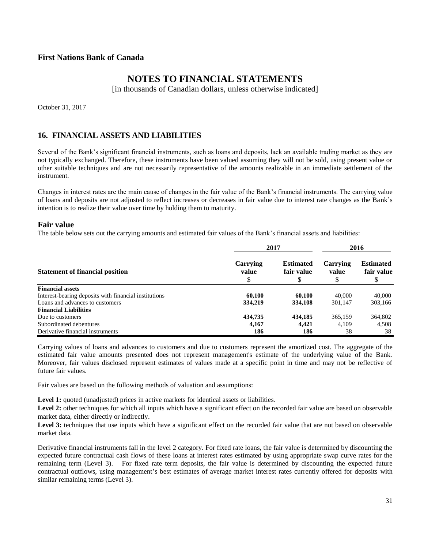## **NOTES TO FINANCIAL STATEMENTS**

[in thousands of Canadian dollars, unless otherwise indicated]

October 31, 2017

### **16. FINANCIAL ASSETS AND LIABILITIES**

Several of the Bank's significant financial instruments, such as loans and deposits, lack an available trading market as they are not typically exchanged. Therefore, these instruments have been valued assuming they will not be sold, using present value or other suitable techniques and are not necessarily representative of the amounts realizable in an immediate settlement of the instrument.

Changes in interest rates are the main cause of changes in the fair value of the Bank's financial instruments. The carrying value of loans and deposits are not adjusted to reflect increases or decreases in fair value due to interest rate changes as the Bank's intention is to realize their value over time by holding them to maturity.

#### **Fair value**

The table below sets out the carrying amounts and estimated fair values of the Bank's financial assets and liabilities:

|                                                       |                         | 2017                                |                        |                                |
|-------------------------------------------------------|-------------------------|-------------------------------------|------------------------|--------------------------------|
| <b>Statement of financial position</b>                | Carrying<br>value<br>\$ | <b>Estimated</b><br>fair value<br>D | Carrying<br>value<br>D | <b>Estimated</b><br>fair value |
| <b>Financial assets</b>                               |                         |                                     |                        |                                |
| Interest-bearing deposits with financial institutions | 60,100                  | 60,100                              | 40,000                 | 40,000                         |
| Loans and advances to customers                       | 334,219                 | 334,108                             | 301.147                | 303,166                        |
| <b>Financial Liabilities</b>                          |                         |                                     |                        |                                |
| Due to customers                                      | 434,735                 | 434,185                             | 365,159                | 364,802                        |
| Subordinated debentures                               | 4.167                   | 4.421                               | 4.109                  | 4,508                          |
| Derivative financial instruments                      | 186                     | 186                                 | 38                     | 38                             |

Carrying values of loans and advances to customers and due to customers represent the amortized cost. The aggregate of the estimated fair value amounts presented does not represent management's estimate of the underlying value of the Bank. Moreover, fair values disclosed represent estimates of values made at a specific point in time and may not be reflective of future fair values.

Fair values are based on the following methods of valuation and assumptions:

Level 1: quoted (unadjusted) prices in active markets for identical assets or liabilities.

Level 2: other techniques for which all inputs which have a significant effect on the recorded fair value are based on observable market data, either directly or indirectly.

Level 3: techniques that use inputs which have a significant effect on the recorded fair value that are not based on observable market data.

Derivative financial instruments fall in the level 2 category. For fixed rate loans, the fair value is determined by discounting the expected future contractual cash flows of these loans at interest rates estimated by using appropriate swap curve rates for the remaining term (Level 3). For fixed rate term deposits, the fair value is determined by discounting the expected future contractual outflows, using management's best estimates of average market interest rates currently offered for deposits with similar remaining terms (Level 3).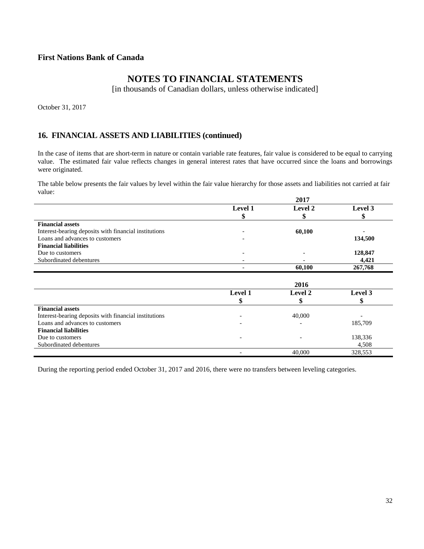## **NOTES TO FINANCIAL STATEMENTS**

[in thousands of Canadian dollars, unless otherwise indicated]

October 31, 2017

### **16. FINANCIAL ASSETS AND LIABILITIES (continued)**

In the case of items that are short-term in nature or contain variable rate features, fair value is considered to be equal to carrying value. The estimated fair value reflects changes in general interest rates that have occurred since the loans and borrowings were originated.

The table below presents the fair values by level within the fair value hierarchy for those assets and liabilities not carried at fair value:

|                                                       |                | 2017    |         |
|-------------------------------------------------------|----------------|---------|---------|
|                                                       | Level 1        | Level 2 | Level 3 |
|                                                       | \$             | \$      | \$      |
| <b>Financial assets</b>                               |                |         |         |
| Interest-bearing deposits with financial institutions |                | 60,100  |         |
| Loans and advances to customers                       |                |         | 134,500 |
| <b>Financial liabilities</b>                          |                |         |         |
| Due to customers                                      |                |         | 128,847 |
| Subordinated debentures                               |                |         | 4,421   |
|                                                       |                | 60,100  | 267,768 |
|                                                       |                |         |         |
|                                                       |                | 2016    |         |
|                                                       | <b>Level 1</b> | Level 2 | Level 3 |
|                                                       | ъ              | \$      | \$      |
| <b>Financial assets</b>                               |                |         |         |
| Interest-bearing deposits with financial institutions |                | 40,000  |         |
| Loans and advances to customers                       |                |         | 185,709 |
| <b>Financial liabilities</b>                          |                |         |         |
| Due to customers                                      |                |         | 138,336 |
| Subordinated debentures                               |                |         | 4,508   |
|                                                       |                | 40,000  | 328,553 |

During the reporting period ended October 31, 2017 and 2016, there were no transfers between leveling categories.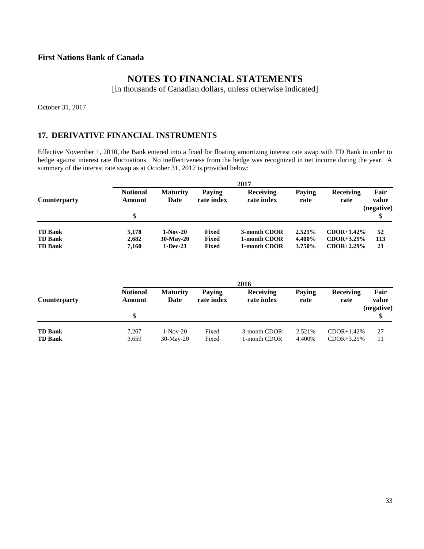## **NOTES TO FINANCIAL STATEMENTS**

[in thousands of Canadian dollars, unless otherwise indicated]

October 31, 2017

### **17. DERIVATIVE FINANCIAL INSTRUMENTS**

Effective November 1, 2010, the Bank entered into a fixed for floating amortizing interest rate swap with TD Bank in order to hedge against interest rate fluctuations. No ineffectiveness from the hedge was recognized in net income during the year. A summary of the interest rate swap as at October 31, 2017 is provided below:

|                |                           |                         |                      | 2017                           |                |                          |                             |
|----------------|---------------------------|-------------------------|----------------------|--------------------------------|----------------|--------------------------|-----------------------------|
| Counterparty   | <b>Notional</b><br>Amount | <b>Maturity</b><br>Date | Paving<br>rate index | <b>Receiving</b><br>rate index | Paving<br>rate | <b>Receiving</b><br>rate | Fair<br>value<br>(negative) |
|                | \$                        |                         |                      |                                |                |                          |                             |
| <b>TD Bank</b> | 5.178                     | $1-Nov-20$              | <b>Fixed</b>         | 3-month CDOR                   | $2.521\%$      | $CDOR+1.42\%$            | 52                          |
| <b>TD Bank</b> | 2.682                     | 30-May-20               | <b>Fixed</b>         | 1-month CDOR                   | 4.400%         | $CDOR+3.29%$             | 113                         |
| <b>TD Bank</b> | 7.160                     | $1$ -Dec-21             | Fixed                | 1-month CDOR                   | 3.750%         | $CDOR+2.29%$             | 21                          |

|                                  |                           |                           |                      | 2016                           |                  |                              |                             |
|----------------------------------|---------------------------|---------------------------|----------------------|--------------------------------|------------------|------------------------------|-----------------------------|
| Counterparty                     | <b>Notional</b><br>Amount | <b>Maturity</b><br>Date   | Paving<br>rate index | <b>Receiving</b><br>rate index | Paying<br>rate   | <b>Receiving</b><br>rate     | Fair<br>value<br>(negative) |
|                                  | \$                        |                           |                      |                                |                  |                              |                             |
| <b>TD Bank</b><br><b>TD Bank</b> | 7.267<br>3,659            | $1-Nov-20$<br>$30-May-20$ | Fixed<br>Fixed       | 3-month CDOR<br>1-month CDOR   | 2.521%<br>4.400% | $CDOR+1.42%$<br>$CDOR+3.29%$ | 27<br>11                    |